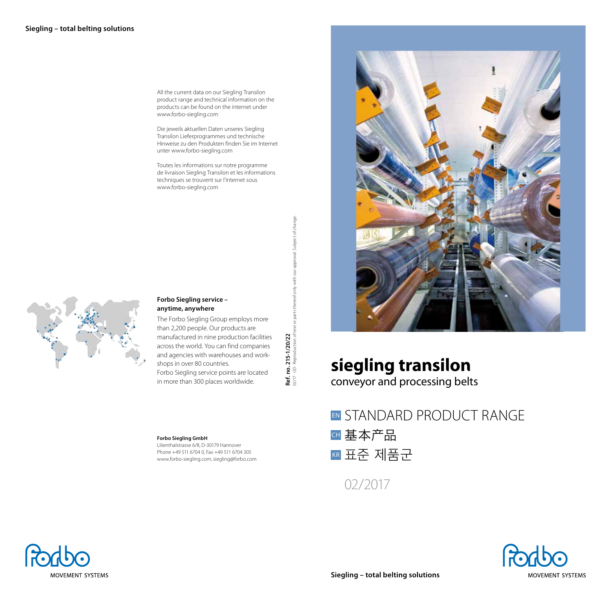All the current data on our Siegling Transilon product range and technical information on the products can be found on the internet under www.forbo-siegling.com

Die jeweils aktuellen Daten unseres Siegling Transilon Lieferprogrammes und technische Hinweise zu den Produkten finden Sie im Internet unter www.forbo-siegling.com

Toutes les informations sur notre programme de livraison Siegling Transilon et les informations techniques se trouvent sur l'internet sous www.forbo-siegling.com



# **Forbo Siegling service – anytime, anywhere**

The Forbo Siegling Group employs more than 2,200 people. Our products are manufactured in nine production facilities across the world. You can find companies and agencies with warehouses and workshops in over 80 countries. Forbo Siegling service points are located in more than 300 places worldwide.

**Ref. no. 215-1/20/22**

 $\dot{\mathbf{g}} \stackrel{\scriptscriptstyle\triangle}{\scriptscriptstyle\triangle}$ Ref.

02/17 · UD · Reproduction of text or parts thereof only with our approval. Subject of change.

. 215-1/20/22<br>- Reproduction of text or parts thereof only with our approval. Subject of change.

### **Forbo Siegling GmbH** Lilienthalstrasse 6/8, D-30179 Hannover

Phone +49 511 6704 0, Fax +49 511 6704 305 www.forbo-siegling.com, siegling@forbo.com



# **siegling transilon**

conveyor and processing belts

EN STANDARD PRODUCT RANGE 基本产品 CH <mark>kr</mark> 표준 제품군

02/2017



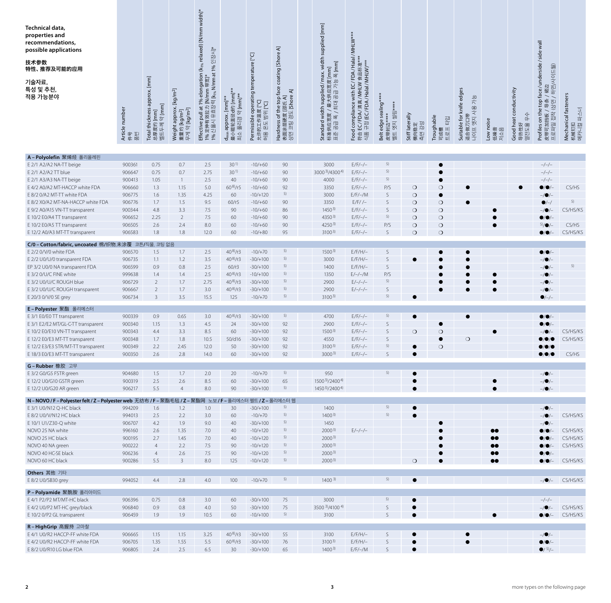| Technical data,<br>properties and<br>recommendations,<br>possible applications<br>技术参数<br>特性、推荐及可能的应用<br>기술자료,<br>특성 및 추천,<br>적용 가능분야 | Article number<br>퓖<br>卟<br>共 | Total thickness approx. [mm]<br>$2$ [mm]<br>$[mm] % \begin{minipage}[b]{0.4\linewidth} \centering \includegraphics[width=\textwidth]{figs/fig_10-fig_2.pdf} \caption{The sum of the number of different models. The sum of the number of models are shown in the left and right.} \label{fig:fig:fig_10-fig_2.pdf} \end{minipage} \vspace{0.05in} \label{fig:fig:fig_10-fig_10-fig_10-fig_2}} \vspace{0.05in} \label{fig:fig:fig_10-fig_10-fig_10-fig_2}} \vspace{0.05in} \caption{The sum of the number of models in the right and right.} \label{fig:fig:fig_10-fig_10-fig_10-fig_2$<br>总厚度约 <br>벨트두께 | Weight approx. [kg/m <sup>2</sup> ]<br>약 [kg/m <sup>2</sup> ]<br>[kg/m <sup>2</sup> ]<br>重量约<br>云 | $Effective$ pull at 1% elongation (k $_{\rm 96}$ relaxed) [N/mm width]*<br>1% 定伸有效拉力 [N/mm 带宽]*<br>1% 신율시 유효장력 [K <sub>%</sub> N/mm at 1% 인장시]* | 最小辊轮直径d约 [mm]<br>약 [mm]*<br>d <sub>min</sub> approx. [mm]**<br>풀리경<br>최소 | operating temperature [°C]<br><b>D</b> °1<br>[C°<br>允许的工作温度 [<br>허용 온도 범위 [°<br>Permissible | coating [Shore A]<br>Hardness of the top face co<br>表面涂层硬度 [邵氏 A]<br>상면 코팅 경도 [Shore A] | Standard width supplied/ max. width supplied [mm]<br>标准供应宽度 / 最大供应宽度 [mm]<br>표준 공급 폭 / 최대 공급 가능 폭 [mm] | d compliance with EC/FDA/Halal/MHLW***<br>EC/FDA/清真 /MHLW 食品标准***<br>규정 (EC/FDA/Halal/MHLW)***<br>Food<br>符合<br><sup>식품</sup> 구 | Belt edge sealing**<br>옛지 씰링****<br>皮带封边<br>当型 | Stiff laterally<br>강성<br>横向稳定<br>측면 강성 | Troughable<br>타입<br>$\mathbf{E}\mathbf{S}\mathbf{H}$<br>可成槽 | Suitable for knife edges<br>가능<br>엣지 사용<br>ã<br>适合做刀<br>프어 | noise<br>牭<br>저소음<br>Low<br>低噪 | Good heat conductivity<br>아<br>导热性好<br>열전도율 | face/underside/side wall<br>挡板 / 륙条 / 裙边<br>접착 (상면 / 하면/사이드월)<br>Profiles on the top<br>皮带可加挡板<br>프로파일 접착 | Mechanical fasteners<br>机械钉扣<br>메카니컬 파스너 |
|---------------------------------------------------------------------------------------------------------------------------------------|-------------------------------|---------------------------------------------------------------------------------------------------------------------------------------------------------------------------------------------------------------------------------------------------------------------------------------------------------------------------------------------------------------------------------------------------------------------------------------------------------------------------------------------------------------------------------------------------------------------------------------------------------|---------------------------------------------------------------------------------------------------|-------------------------------------------------------------------------------------------------------------------------------------------------|--------------------------------------------------------------------------|---------------------------------------------------------------------------------------------|-----------------------------------------------------------------------------------------|--------------------------------------------------------------------------------------------------------|---------------------------------------------------------------------------------------------------------------------------------|------------------------------------------------|----------------------------------------|-------------------------------------------------------------|------------------------------------------------------------|--------------------------------|---------------------------------------------|-----------------------------------------------------------------------------------------------------------|------------------------------------------|
|                                                                                                                                       |                               |                                                                                                                                                                                                                                                                                                                                                                                                                                                                                                                                                                                                         |                                                                                                   |                                                                                                                                                 |                                                                          |                                                                                             |                                                                                         |                                                                                                        |                                                                                                                                 |                                                |                                        |                                                             |                                                            |                                |                                             |                                                                                                           |                                          |
| A-Polyolefin 聚烯烃 폴리올레핀                                                                                                                |                               |                                                                                                                                                                                                                                                                                                                                                                                                                                                                                                                                                                                                         |                                                                                                   |                                                                                                                                                 |                                                                          |                                                                                             |                                                                                         |                                                                                                        |                                                                                                                                 |                                                |                                        |                                                             |                                                            |                                |                                             |                                                                                                           |                                          |
| E 2/1 A2/A2 NA-TT beige                                                                                                               | 900361                        | 0.75                                                                                                                                                                                                                                                                                                                                                                                                                                                                                                                                                                                                    | 0.7                                                                                               | 2.5                                                                                                                                             | 30 <sup>1</sup>                                                          | $-10/+60$                                                                                   | 90                                                                                      | 3000                                                                                                   | $E/F/-/-$                                                                                                                       | 5)                                             |                                        | e                                                           |                                                            |                                |                                             | $-/-/-$                                                                                                   |                                          |
| E 2/1 A2/A2 TT blue                                                                                                                   | 906647                        | 0.75                                                                                                                                                                                                                                                                                                                                                                                                                                                                                                                                                                                                    | 0.7                                                                                               | 2.75                                                                                                                                            | 30 <sup>1</sup>                                                          | $-10/+60$                                                                                   | 90                                                                                      | 30003)/43004)                                                                                          | $E/F/-/-$                                                                                                                       | 5)                                             |                                        | $\bullet$                                                   |                                                            |                                |                                             | $-/-/-$                                                                                                   |                                          |
| E 2/1 A3/A3 NA-TT beige                                                                                                               | 900413                        | 1.05                                                                                                                                                                                                                                                                                                                                                                                                                                                                                                                                                                                                    | $\overline{1}$                                                                                    | 2.5                                                                                                                                             | 40                                                                       | $-10/+60$                                                                                   | 90                                                                                      | 4000                                                                                                   | $E/F/-/-$                                                                                                                       | 5)                                             |                                        | e                                                           |                                                            |                                |                                             | $-/-/-$                                                                                                   |                                          |
| E 4/2 A0/A2 MT-HACCP white FDA                                                                                                        | 906660                        | 1.3                                                                                                                                                                                                                                                                                                                                                                                                                                                                                                                                                                                                     | 1.15                                                                                              | 5.0                                                                                                                                             | $60^{8}/r5$                                                              | $-10/+60$                                                                                   | 92                                                                                      | 3350                                                                                                   | $E/F/-/-$                                                                                                                       | P/S                                            | $\circ$                                | $\circ$                                                     |                                                            |                                |                                             | $\bullet$ / $\bullet$ /                                                                                   | CS/HS                                    |
| E 8/2 0/A2 MT-TT white FDA                                                                                                            | 906775                        | 1.6                                                                                                                                                                                                                                                                                                                                                                                                                                                                                                                                                                                                     | 1.35                                                                                              | 4.25                                                                                                                                            | 60                                                                       | $-10/+120$                                                                                  | 5)                                                                                      | 3000                                                                                                   | $E/F/-/M$                                                                                                                       | S                                              | $\circ$                                | $\bullet$                                                   |                                                            |                                |                                             | $-/\bullet/-$                                                                                             |                                          |
| E 8/2 X0/A2 MT-NA-HACCP white FDA                                                                                                     | 906776                        | 1.7                                                                                                                                                                                                                                                                                                                                                                                                                                                                                                                                                                                                     | 1.5                                                                                               | 9.5                                                                                                                                             | 60/r5                                                                    | $-10/+60$                                                                                   | 90                                                                                      | 3350                                                                                                   | $E/F$ / $-$                                                                                                                     | S                                              | $\circ$                                | $\circ$                                                     |                                                            |                                |                                             | $\bullet$ /-/                                                                                             | 5)                                       |
| E 9/2 A0/A15 VN-TT transparent                                                                                                        | 900344                        | 4.8                                                                                                                                                                                                                                                                                                                                                                                                                                                                                                                                                                                                     | 3.3                                                                                               | 7.5                                                                                                                                             | 90                                                                       | $-10/+60$                                                                                   | 86                                                                                      | $1450^{3}$                                                                                             | $E/F/-/-$                                                                                                                       | $\mathsf{S}$                                   | $\circ$                                | $\circ$                                                     |                                                            |                                |                                             |                                                                                                           | CS/HS/KS                                 |
| E 10/2 E0/A4 TT transparent                                                                                                           | 906652                        | 2.25                                                                                                                                                                                                                                                                                                                                                                                                                                                                                                                                                                                                    | $\overline{2}$                                                                                    | 7.5                                                                                                                                             | 60                                                                       | $-10/+60$                                                                                   | 90                                                                                      | $4350^{3}$                                                                                             | $E/F/-/-$                                                                                                                       | 5)                                             | $\circ$                                | $\circ$                                                     |                                                            |                                |                                             | 8/0                                                                                                       |                                          |
| E 10/2 E0/A5 TT transparent                                                                                                           | 906505                        | 2.6                                                                                                                                                                                                                                                                                                                                                                                                                                                                                                                                                                                                     | 2.4                                                                                               | 8.0                                                                                                                                             | 60                                                                       | $-10/+60$                                                                                   | 90                                                                                      | 4250 <sup>3)</sup>                                                                                     | $E/F/-/-$                                                                                                                       | P/S                                            | $\circ$                                | $\circ$                                                     |                                                            | $\bullet$                      |                                             | 5)/O                                                                                                      | CS/HS                                    |
| E 12/2 A0/A3 MT-TT transparent                                                                                                        | 906583                        | 1.8                                                                                                                                                                                                                                                                                                                                                                                                                                                                                                                                                                                                     | 1.8                                                                                               | 12.0                                                                                                                                            | 60                                                                       | $-10/+80$                                                                                   | 95                                                                                      | $3100^{3}$                                                                                             | $E/F/-/-$                                                                                                                       | S                                              | $\circ$                                | $\circ$                                                     |                                                            |                                |                                             | $\bullet$ / $\bullet$                                                                                     | CS/HS/KS                                 |
| C/0 - Cotton/fabric, uncoated 棉/织物,未涂覆 코튼/직물, 코팅 없음                                                                                   |                               |                                                                                                                                                                                                                                                                                                                                                                                                                                                                                                                                                                                                         |                                                                                                   |                                                                                                                                                 |                                                                          |                                                                                             |                                                                                         |                                                                                                        |                                                                                                                                 |                                                |                                        |                                                             |                                                            |                                |                                             |                                                                                                           |                                          |
| E 2/2 0/V/0 white FDA                                                                                                                 | 906570                        | 1.5                                                                                                                                                                                                                                                                                                                                                                                                                                                                                                                                                                                                     | 1.7                                                                                               | 2.5                                                                                                                                             | $40^{8}/r3$                                                              | $-10/+70$                                                                                   | 5)                                                                                      | 1500 <sup>3</sup>                                                                                      | $E/F/H/-$                                                                                                                       | S                                              |                                        |                                                             |                                                            |                                |                                             | $\bullet$ / $\bullet$ / $-$                                                                               |                                          |
| E 2/2 U0/U/0 transparent FDA                                                                                                          | 906735                        | 1.1                                                                                                                                                                                                                                                                                                                                                                                                                                                                                                                                                                                                     | 1.2                                                                                               | 3.5                                                                                                                                             | $40^{8}/r3$                                                              | $-30/+100$                                                                                  | 5)                                                                                      | 3000                                                                                                   | $E/F/H/-$                                                                                                                       | S                                              | $\bullet$                              |                                                             |                                                            |                                |                                             | $-1$ $\bullet$ /-                                                                                         |                                          |
| EP 3/2 U0/0 NA transparent FDA                                                                                                        | 906599                        | 0.9                                                                                                                                                                                                                                                                                                                                                                                                                                                                                                                                                                                                     | 0.8                                                                                               | 2.5                                                                                                                                             | 60/r3                                                                    | $-30/+100$                                                                                  | 5)                                                                                      | 1400                                                                                                   | $E/F/H/-$                                                                                                                       | S                                              |                                        |                                                             |                                                            |                                |                                             | $-/\bullet$ /-                                                                                            | 5)                                       |
| E 3/2 0/U/C FINE white                                                                                                                | 999638                        | 1.4                                                                                                                                                                                                                                                                                                                                                                                                                                                                                                                                                                                                     | 1.4                                                                                               | 2.5                                                                                                                                             | $40^{8}/r3$                                                              | $-10/+100$                                                                                  | 5)                                                                                      | 1350                                                                                                   | $E/-/-/M$                                                                                                                       | P/S                                            |                                        |                                                             |                                                            |                                |                                             | –/●/–                                                                                                     |                                          |
| E 3/2 U0/U/C ROUGH blue                                                                                                               | 906729                        | $\overline{2}$                                                                                                                                                                                                                                                                                                                                                                                                                                                                                                                                                                                          | 1.7                                                                                               | 2.75                                                                                                                                            | $40^{8}/r3$                                                              | $-30/+100$                                                                                  | 5)                                                                                      | 2900                                                                                                   | $E/-/-/-/ -$                                                                                                                    | 5)                                             |                                        | e                                                           |                                                            |                                |                                             | $-/\bullet/$                                                                                              |                                          |
| E 3/2 U0/U/C ROUGH transparent                                                                                                        | 906667                        | $\overline{2}$                                                                                                                                                                                                                                                                                                                                                                                                                                                                                                                                                                                          | 1.7                                                                                               | 3.0                                                                                                                                             | $40^{8}/r3$                                                              | $-30/+100$                                                                                  | 5)                                                                                      | 2900                                                                                                   | $E/-/-/-/ -$                                                                                                                    | S                                              |                                        | $\bullet$                                                   | $\bullet$                                                  | $\bullet$                      |                                             | $-/\bullet/-$                                                                                             |                                          |
| E 20/3 0/V/0 SE grey                                                                                                                  | 906734                        | $\overline{3}$                                                                                                                                                                                                                                                                                                                                                                                                                                                                                                                                                                                          | 3.5                                                                                               | 15.5                                                                                                                                            | 125                                                                      | $-10/+70$                                                                                   | 5)                                                                                      | $3100^{3}$                                                                                             |                                                                                                                                 | 5)                                             |                                        |                                                             |                                                            |                                |                                             | $\bullet$ /-/-                                                                                            |                                          |
| E-Polyester 聚酯 폴리에스터                                                                                                                  |                               |                                                                                                                                                                                                                                                                                                                                                                                                                                                                                                                                                                                                         |                                                                                                   |                                                                                                                                                 |                                                                          |                                                                                             |                                                                                         |                                                                                                        |                                                                                                                                 |                                                |                                        |                                                             |                                                            |                                |                                             |                                                                                                           |                                          |
| E 3/1 E0/E0 TT transparent                                                                                                            | 900339                        | 0.9                                                                                                                                                                                                                                                                                                                                                                                                                                                                                                                                                                                                     | 0.65                                                                                              | 3.0                                                                                                                                             | $40^{8}/r3$                                                              | $-30/+100$                                                                                  | 5)                                                                                      | 4700                                                                                                   | $E/F/-/-$                                                                                                                       | 5)                                             | $\bullet$                              |                                                             | c                                                          |                                |                                             | $\bullet$ / $\bullet$ /                                                                                   |                                          |
| E 3/1 E2/E2 MT/GL-C-TT transparent                                                                                                    | 900340                        | 1.15                                                                                                                                                                                                                                                                                                                                                                                                                                                                                                                                                                                                    | 1.3                                                                                               | 4.5                                                                                                                                             | 24                                                                       | $-30/+100$                                                                                  | 92                                                                                      | 2900                                                                                                   | $E/F/-/-$                                                                                                                       | S                                              |                                        |                                                             |                                                            |                                |                                             |                                                                                                           |                                          |
| E 10/2 E0/E10 VN-TT transparent                                                                                                       | 900343                        | 4.4                                                                                                                                                                                                                                                                                                                                                                                                                                                                                                                                                                                                     | 3.3                                                                                               | 8.5                                                                                                                                             | 60                                                                       | $-30/+100$                                                                                  | 92                                                                                      | 1500 <sup>3</sup>                                                                                      | $E/F/-/-$                                                                                                                       | S                                              | $\circ$                                | $\circ$                                                     |                                                            | c                              |                                             | -/0/-                                                                                                     | CS/HS/KS                                 |
| E 12/2 E0/E3 MT-TT transparent                                                                                                        | 900348                        | 1.7                                                                                                                                                                                                                                                                                                                                                                                                                                                                                                                                                                                                     | 1.8                                                                                               | 10.5                                                                                                                                            | 50/d16                                                                   | $-30/+100$                                                                                  | 92                                                                                      | 4550                                                                                                   | E/F/-/-                                                                                                                         | S                                              |                                        |                                                             | $\circ$                                                    |                                |                                             | ●/●/●                                                                                                     | CS/HS/KS                                 |
| E 12/2 E3/E3 STR/MT-TT transparent                                                                                                    | 900349                        | 2.2                                                                                                                                                                                                                                                                                                                                                                                                                                                                                                                                                                                                     | 2.45                                                                                              | 12.0                                                                                                                                            | 50                                                                       | $-30/+100$                                                                                  | 92                                                                                      | $3100^{3}$                                                                                             | $E/F/-/-$                                                                                                                       | 5)                                             |                                        | $\circ$                                                     |                                                            |                                |                                             |                                                                                                           |                                          |
| E 18/3 E0/E3 MT-TT transparent                                                                                                        | 900350                        | 2.6                                                                                                                                                                                                                                                                                                                                                                                                                                                                                                                                                                                                     | 2.8                                                                                               | 14.0                                                                                                                                            | 60                                                                       | $-30/+100$                                                                                  | 92                                                                                      | $3000^{3}$                                                                                             | $E/F/-/-$                                                                                                                       | S                                              | $\bullet$                              |                                                             |                                                            |                                |                                             | $\bullet$ / $\bullet$                                                                                     | CS/HS                                    |
|                                                                                                                                       |                               |                                                                                                                                                                                                                                                                                                                                                                                                                                                                                                                                                                                                         |                                                                                                   |                                                                                                                                                 |                                                                          |                                                                                             |                                                                                         |                                                                                                        |                                                                                                                                 |                                                |                                        |                                                             |                                                            |                                |                                             |                                                                                                           |                                          |
| G-Rubber 橡胶 고무                                                                                                                        |                               |                                                                                                                                                                                                                                                                                                                                                                                                                                                                                                                                                                                                         |                                                                                                   |                                                                                                                                                 |                                                                          |                                                                                             |                                                                                         |                                                                                                        |                                                                                                                                 |                                                |                                        |                                                             |                                                            |                                |                                             |                                                                                                           |                                          |
| E 3/2 G0/G5 FSTR green                                                                                                                | 904680                        | 1.5                                                                                                                                                                                                                                                                                                                                                                                                                                                                                                                                                                                                     | 1.7                                                                                               | 2.0                                                                                                                                             | 20                                                                       | $-10/+70$                                                                                   | 5)                                                                                      | 950                                                                                                    |                                                                                                                                 | 5)                                             |                                        |                                                             |                                                            |                                |                                             | $-/\bullet/-$                                                                                             |                                          |
| E 12/2 U0/G10 GSTR green                                                                                                              | 900319                        | 2.5                                                                                                                                                                                                                                                                                                                                                                                                                                                                                                                                                                                                     | $2.6\,$                                                                                           | 8.5                                                                                                                                             | 60                                                                       | $-30/+100$                                                                                  | 65                                                                                      | 15003)/24004)                                                                                          |                                                                                                                                 |                                                |                                        |                                                             |                                                            |                                |                                             | $-/\bullet/-$                                                                                             |                                          |
| E 12/2 U0/G20 AR green                                                                                                                | 906217                        | 5.5                                                                                                                                                                                                                                                                                                                                                                                                                                                                                                                                                                                                     | $\overline{4}$                                                                                    | 8.0                                                                                                                                             | 90                                                                       | $-30/+100$                                                                                  | 5)                                                                                      | 14503)/24004)                                                                                          |                                                                                                                                 |                                                | $\bullet$                              |                                                             |                                                            |                                |                                             | $-/\bullet/-$                                                                                             |                                          |
| N-NOVO / F-Polyester felt / Z-Polyester web 无纺布 / F-聚酯毛毡 / Z-聚酯网 노보 / F-폴리에스터 펠트 / Z-폴리에스터 웹                                          |                               |                                                                                                                                                                                                                                                                                                                                                                                                                                                                                                                                                                                                         |                                                                                                   |                                                                                                                                                 |                                                                          |                                                                                             |                                                                                         |                                                                                                        |                                                                                                                                 |                                                |                                        |                                                             |                                                            |                                |                                             |                                                                                                           |                                          |
| E 3/1 U0/N12 Q-HC black                                                                                                               | 994209                        | 1.6                                                                                                                                                                                                                                                                                                                                                                                                                                                                                                                                                                                                     | 1.2                                                                                               | 1.0                                                                                                                                             | 30                                                                       | $-30/+100$                                                                                  | 5)                                                                                      | 1400                                                                                                   |                                                                                                                                 | 5)                                             |                                        |                                                             |                                                            |                                |                                             | $-/\bullet/-$                                                                                             |                                          |
| E 8/2 U0/V/N12 HC black                                                                                                               | 994013                        | 2.5                                                                                                                                                                                                                                                                                                                                                                                                                                                                                                                                                                                                     | 2.2                                                                                               | 3.0                                                                                                                                             | 60                                                                       | $-10/+70$                                                                                   | 5)                                                                                      | $1400^{3}$                                                                                             |                                                                                                                                 | 5)                                             |                                        |                                                             |                                                            |                                |                                             | $-/\bullet/-$                                                                                             | CS/HS/KS                                 |
| E 10/1 U1/Z30-Q white                                                                                                                 | 906707                        | 4.2                                                                                                                                                                                                                                                                                                                                                                                                                                                                                                                                                                                                     | 1.9                                                                                               | 9.0                                                                                                                                             | 40                                                                       | $-30/+100$                                                                                  | 5)                                                                                      | 1450                                                                                                   |                                                                                                                                 |                                                |                                        |                                                             |                                                            |                                |                                             | $-/\bullet/-$                                                                                             |                                          |
| NOVO 25 NA white                                                                                                                      | 996160                        | 2.6                                                                                                                                                                                                                                                                                                                                                                                                                                                                                                                                                                                                     | 1.35                                                                                              | 7.0                                                                                                                                             | 40                                                                       | $-10/+120$                                                                                  | 5)                                                                                      | $2000^{3}$                                                                                             | $E/-/-/-/ -$                                                                                                                    |                                                |                                        |                                                             |                                                            | $\bullet\bullet$               |                                             | $\bullet$ / $\bullet$                                                                                     | CS/HS/KS                                 |
| NOVO 25 HC black                                                                                                                      | 900195                        | 2.7                                                                                                                                                                                                                                                                                                                                                                                                                                                                                                                                                                                                     | 1.45                                                                                              | 7.0                                                                                                                                             | 40                                                                       | $-10/+120$                                                                                  | 5)                                                                                      | $2000^{3}$                                                                                             |                                                                                                                                 |                                                |                                        |                                                             |                                                            | $\bullet\bullet$               |                                             | $\bullet$ / $\bullet$                                                                                     | CS/HS/KS                                 |
| NOVO 40 NA green                                                                                                                      | 900222                        | $\overline{4}$                                                                                                                                                                                                                                                                                                                                                                                                                                                                                                                                                                                          | 2.2                                                                                               | 7.5                                                                                                                                             | 90                                                                       | $-10/+120$                                                                                  | 5)                                                                                      | $2000^{3}$                                                                                             |                                                                                                                                 |                                                |                                        |                                                             |                                                            | $\bullet\bullet$               |                                             | $\bullet$ / $\bullet$ / $-$                                                                               | CS/HS/KS                                 |
| NOVO 40 HC-SE black                                                                                                                   | 906236                        | $\overline{4}$                                                                                                                                                                                                                                                                                                                                                                                                                                                                                                                                                                                          | 2.6                                                                                               | 7.5                                                                                                                                             | 90                                                                       | $-10/+120$                                                                                  | 5)                                                                                      | $2000^{3}$                                                                                             |                                                                                                                                 |                                                |                                        |                                                             |                                                            | $\bullet\bullet$               |                                             | $\bullet/\bullet/-$                                                                                       |                                          |
| NOVO 60 HC black                                                                                                                      | 900286                        | 5.5                                                                                                                                                                                                                                                                                                                                                                                                                                                                                                                                                                                                     | $\overline{3}$                                                                                    | 8.0                                                                                                                                             | 125                                                                      | $-10/+120$                                                                                  | 5)                                                                                      | $2000^{3}$                                                                                             |                                                                                                                                 |                                                | $\circ$                                |                                                             |                                                            | $\bullet\bullet$               |                                             |                                                                                                           | $O/O/-$ CS/HS/KS                         |
| Others 其他 기타                                                                                                                          |                               |                                                                                                                                                                                                                                                                                                                                                                                                                                                                                                                                                                                                         |                                                                                                   |                                                                                                                                                 |                                                                          |                                                                                             |                                                                                         |                                                                                                        |                                                                                                                                 |                                                |                                        |                                                             |                                                            |                                |                                             |                                                                                                           |                                          |
| E 8/2 U0/SB30 grey                                                                                                                    | 994052                        | 4.4                                                                                                                                                                                                                                                                                                                                                                                                                                                                                                                                                                                                     | 2.8                                                                                               | 4.0                                                                                                                                             | 100                                                                      | $-10/+70$                                                                                   | 5)                                                                                      | $1400^{3}$                                                                                             |                                                                                                                                 | 5)                                             | $\bullet$                              |                                                             |                                                            |                                |                                             |                                                                                                           | $-\sqrt{•}/-$ CS/HS/KS                   |
|                                                                                                                                       |                               |                                                                                                                                                                                                                                                                                                                                                                                                                                                                                                                                                                                                         |                                                                                                   |                                                                                                                                                 |                                                                          |                                                                                             |                                                                                         |                                                                                                        |                                                                                                                                 |                                                |                                        |                                                             |                                                            |                                |                                             |                                                                                                           |                                          |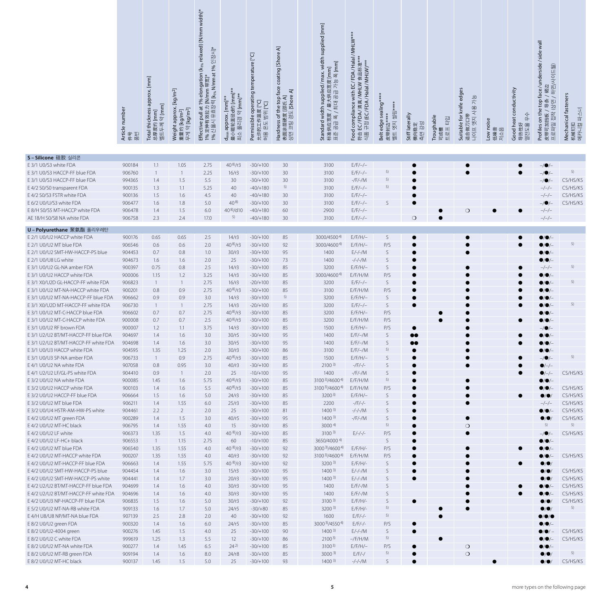|                                                                       | Article number<br>件号<br>푌 | Total thickness approx. [mm]<br>[mm]<br>$\lfloor mm \rfloor$<br>하<br>总厚度约 <br><u>벨</u> 트두께 | Weight approx. [kg/m <sup>2</sup> ]<br>$[kg/m2]$<br>$[kg/m2]$<br>öГ<br>重量约<br>무게 약 | Effective pull at 1% elongation (k <sub>1%</sub> relaxed) [N/mm width]*<br>1% 定伸有效拉力 [N/mm 带宽]*<br>1% 신율시 유효장력 [k <sub>%</sub> N/mm at 1% 인장시]* | <sub>신</sub> \辊轮直径d约 [mm]**<br> 소 풀리경 약 [mm]**<br>약 [mm]*<br>d <sub>min</sub> approx. [mm]*<br>最引 | operating temperature [°C]<br>$\overline{C}$<br>度<br>쮦<br>允许的工作温.<br>허용 온도 범우<br>Permissible | coating [Shore A]<br>Hardness of the top face c<br>表面涂层硬度 [邵氏 A]<br>상면 코팅 경도 [Shore A] | Standard width supplied/ max. width supplied [mm]<br>标准供应宽度 / 最大供应宽度 [mm]<br>표준 공급 폭 / 최대 공급 가능 폭 [mm]<br>/ 最大供应宽度 [<br>최대 공급 가능 <del>!</del> | EC/FDA/Halal/MHLW***<br>EC/FDA/清真/MHLW 食品标准**<br>규정 (EC/FDA/Halal/MHLW)***<br>Halal/MHLW)***<br>compliance with<br>Food<br>符合 | Belt edge sealing <sup>*</sup><br>엣지 씰링**<br>皮带封边 <sup>。</sup><br>벨트 엣지 | Stiff laterally<br>$rac{1}{20}$<br>横向稳定<br>좎 | Troughable<br>랍<br>$E \equiv \frac{\Box}{\Box}$<br>可成 | Suitable for knife edges<br>가능<br>ペ<br>适合做刀口带<br>나이프 엣지 | Low noise<br>柧<br>이다<br>저소<br>低噪 | Good heat conductivity<br>아<br>导热性好<br>열전도율 | face/underside/side wall<br>$\equiv$ $\frac{2}{3}$<br>하면사이<br><sub>ト/裙边</sub><br>'/荷边<br>Profiles on the top fa<br>皮带可加挡板 / 导条 /<br>상면<br>접착<br>皮带可加挡板<br>프로파일 접착<br>로파일 | Mechanical fasteners<br>파스너<br>机械钉扣<br>메카니컬 |
|-----------------------------------------------------------------------|---------------------------|--------------------------------------------------------------------------------------------|------------------------------------------------------------------------------------|-------------------------------------------------------------------------------------------------------------------------------------------------|---------------------------------------------------------------------------------------------------|----------------------------------------------------------------------------------------------|----------------------------------------------------------------------------------------|-----------------------------------------------------------------------------------------------------------------------------------------------|-------------------------------------------------------------------------------------------------------------------------------|-------------------------------------------------------------------------|----------------------------------------------|-------------------------------------------------------|---------------------------------------------------------|----------------------------------|---------------------------------------------|--------------------------------------------------------------------------------------------------------------------------------------------------------------------------|---------------------------------------------|
| S-Silicone 硅胶 실리콘                                                     |                           |                                                                                            |                                                                                    |                                                                                                                                                 |                                                                                                   |                                                                                              |                                                                                        |                                                                                                                                               |                                                                                                                               |                                                                         |                                              |                                                       |                                                         |                                  |                                             |                                                                                                                                                                          |                                             |
| E 3/1 U0/S3 white FDA                                                 | 900184                    | 1.1                                                                                        | 1.05                                                                               | 2.75                                                                                                                                            | $40^{8}/r3$                                                                                       | $-30/+100$                                                                                   | 30                                                                                     | 3100                                                                                                                                          | $E/F/-/-$                                                                                                                     |                                                                         |                                              |                                                       |                                                         |                                  |                                             | $-$ / $\bullet$ /-                                                                                                                                                       |                                             |
| E 3/1 U0/S3 HACCP-FF blue FDA                                         | 906760                    | $\overline{1}$                                                                             |                                                                                    | 2.25                                                                                                                                            | 16/r3                                                                                             | $-30/+100$                                                                                   | 30                                                                                     | 3100                                                                                                                                          | $E/F/-/-$                                                                                                                     | 5)                                                                      |                                              |                                                       |                                                         |                                  | $\bullet$                                   | $-/\bullet/-$                                                                                                                                                            | 5)                                          |
| E 3/1 U0/S3 HACCP-FF blue FDA                                         | 994365                    | 1.4                                                                                        | 1.5                                                                                | 5.5                                                                                                                                             | 30                                                                                                | $-30/+100$                                                                                   | 30                                                                                     | 3100                                                                                                                                          | $-/F/-/M$                                                                                                                     | 5)                                                                      |                                              |                                                       |                                                         |                                  |                                             |                                                                                                                                                                          | CS/HS/KS                                    |
| E 4/2 S0/S0 transparent FDA                                           | 900135                    | 1.3                                                                                        | 1.1                                                                                | 5.25                                                                                                                                            | 40                                                                                                | $-40/+180$                                                                                   | 5)                                                                                     | 3100                                                                                                                                          | $E/F/-/-$                                                                                                                     | 5)                                                                      |                                              |                                                       |                                                         |                                  |                                             | -/-/-                                                                                                                                                                    | CS/HS/KS                                    |
| E 4/2 S0/S3 FSTR white FDA                                            | 900136                    | 1.5                                                                                        | 1.6                                                                                | 4.5                                                                                                                                             | 40                                                                                                | $-40/+180$                                                                                   | 30                                                                                     | 3100                                                                                                                                          | $E/F/-/-$                                                                                                                     |                                                                         |                                              |                                                       |                                                         |                                  |                                             | $-/-/-$                                                                                                                                                                  | CS/HS/KS                                    |
| E 6/2 U0/U/S3 white FDA<br>E 8/H S0/S5 MT-HACCP white FDA             | 906477<br>906478          | 1.6<br>1.4                                                                                 | 1.8<br>1.5                                                                         | 5.0<br>6.0                                                                                                                                      | $40^{8}$<br>40 <sup>8</sup> /d10                                                                  | $-30/+100$<br>$-40/+180$                                                                     | 30<br>60                                                                               | 3100<br>2900                                                                                                                                  | $E/F/-/-$<br>$E/F/-/-$                                                                                                        | S                                                                       |                                              |                                                       | $\circ$                                                 | $\bullet$                        | $\bullet$                                   | $-/-/-$                                                                                                                                                                  | CS/HS/KS                                    |
| AE 18/H S0/S8 NA white FDA                                            | 906758                    | 2.3                                                                                        | 2.4                                                                                | 17.0                                                                                                                                            | 5)                                                                                                | $-40/+180$                                                                                   | 30                                                                                     | 3100                                                                                                                                          | $E/F/-/-$                                                                                                                     |                                                                         | $\bigcirc$                                   |                                                       |                                                         |                                  |                                             | $-/-/-$                                                                                                                                                                  |                                             |
|                                                                       |                           |                                                                                            |                                                                                    |                                                                                                                                                 |                                                                                                   |                                                                                              |                                                                                        |                                                                                                                                               |                                                                                                                               |                                                                         |                                              |                                                       |                                                         |                                  |                                             |                                                                                                                                                                          |                                             |
| U-Polyurethane 聚氨酯 폴리우레탄                                              |                           |                                                                                            |                                                                                    |                                                                                                                                                 |                                                                                                   |                                                                                              |                                                                                        |                                                                                                                                               |                                                                                                                               |                                                                         |                                              |                                                       |                                                         |                                  |                                             |                                                                                                                                                                          |                                             |
| E 2/1 U0/U2 HACCP white FDA<br>E 2/1 U0/U2 MT blue FDA                | 900176<br>906546          | 0.65<br>0.6                                                                                | 0.65<br>0.6                                                                        | 2.5<br>2.0                                                                                                                                      | 14/r3<br>$40^{8}/r3$                                                                              | $-30/+100$<br>$-30/+100$                                                                     | 85<br>92                                                                               | 3000/45004)<br>3000/4600 <sup>4)</sup>                                                                                                        | $E/F/H/-$<br>$E/F/H/-$                                                                                                        | S<br>P/S                                                                |                                              |                                                       | c                                                       |                                  |                                             | 0/0/-<br>$\bullet$ / $\bullet$ / $\overline{\phantom{a}}$                                                                                                                | 5)                                          |
| E 2/1 U0/U2 SMT-HW-HACCP-PS blue                                      | 904453                    | 0.7                                                                                        | 0.8                                                                                | 1.0                                                                                                                                             | 30/r3                                                                                             | $-30/+100$                                                                                   | 95                                                                                     | 1400                                                                                                                                          | $E/-/-/M$                                                                                                                     | S                                                                       |                                              |                                                       |                                                         |                                  |                                             | $\bullet$ / $\bullet$ /-                                                                                                                                                 |                                             |
| E 2/1 U0/U8 LG white                                                  | 904673                    | 1.6                                                                                        | 1.6                                                                                | 2.0                                                                                                                                             | 25                                                                                                | $-30/+100$                                                                                   | 73                                                                                     | 1400                                                                                                                                          | $-/-/-/M$                                                                                                                     | S                                                                       |                                              |                                                       |                                                         |                                  |                                             | $\bullet$ / $\bullet$ / $\hbox{--}$                                                                                                                                      |                                             |
| E 3/1 U0/U2 GL-NA amber FDA                                           | 900397                    | 0.75                                                                                       | 0.8                                                                                | 2.5                                                                                                                                             | 14/r3                                                                                             | $-30/+100$                                                                                   | 85                                                                                     | 3200                                                                                                                                          | $E/F/H/-$                                                                                                                     | S                                                                       |                                              |                                                       | c                                                       |                                  |                                             | $-/-/-$                                                                                                                                                                  | 5)                                          |
| E 3/1 U0/U2 HACCP white FDA                                           | 900006                    | 1.15                                                                                       | 1.2                                                                                | 3.25                                                                                                                                            | 14/r3                                                                                             | $-30/+100$                                                                                   | 85                                                                                     | 3000/46004                                                                                                                                    | E/F/H/M                                                                                                                       | P/S                                                                     |                                              |                                                       |                                                         |                                  |                                             | $\bullet$ / $\bullet$ /-                                                                                                                                                 |                                             |
| E 3/1 X0/U2D GL-HACCP-FF white FDA                                    | 906823                    | $\overline{1}$                                                                             | $\mathbf{1}$                                                                       | 2.75                                                                                                                                            | 16/r3                                                                                             | $-20/+100$                                                                                   | 85                                                                                     | 3200                                                                                                                                          | $E/F/-/-$                                                                                                                     | S                                                                       |                                              |                                                       |                                                         |                                  |                                             | $\bullet$ / $\bullet$ / $\overline{\phantom{a}}$                                                                                                                         | 5)                                          |
| E 3/1 U0/U2 MT-NA-HACCP white FDA                                     | 900201                    | 0.8                                                                                        | 0.9                                                                                | 2.75                                                                                                                                            | $40^{8}/r3$                                                                                       | $-30/+100$                                                                                   | 85                                                                                     | 3100                                                                                                                                          | E/F/H/M                                                                                                                       | P/S                                                                     |                                              |                                                       |                                                         |                                  |                                             | 0/0/                                                                                                                                                                     |                                             |
| E 3/1 U0/U2 MT-NA-HACCP-FF blue FDA                                   | 906662                    | 0.9                                                                                        | 0.9                                                                                | 3.0                                                                                                                                             | 14/r3                                                                                             | $-30/+100$                                                                                   | 5)                                                                                     | 3200                                                                                                                                          | $E/F/H/-$                                                                                                                     | S                                                                       |                                              |                                                       |                                                         |                                  |                                             | 0/0/                                                                                                                                                                     | 5)                                          |
| E 3/1 X0/U2D MT-HACCP-FF white FDA<br>E 3/1 U0/U2 MT-C-HACCP blue FDA | 906730<br>906602          | $\overline{1}$<br>0.7                                                                      | $\mathbf{1}$<br>0.7                                                                | 2.75<br>2.75                                                                                                                                    | 14/r3<br>$40^{8}/r3$                                                                              | $-20/+100$<br>$-30/+100$                                                                     | 85<br>85                                                                               | 3200<br>3200                                                                                                                                  | $E/F/-/-$<br>$E/F/H/-$                                                                                                        | S<br>P/S                                                                | $\bullet$                                    |                                                       |                                                         |                                  |                                             | $\bullet$ / $\bullet$ /-                                                                                                                                                 |                                             |
| E 3/1 U0/U2 MT-C-HACCP white FDA                                      | 900008                    | 0.7                                                                                        | 0.7                                                                                | 2.5                                                                                                                                             | $40^{8}/r3$                                                                                       | $-30/+100$                                                                                   | 85                                                                                     | 3200                                                                                                                                          | E/F/H/M                                                                                                                       | P/S                                                                     |                                              |                                                       |                                                         |                                  |                                             | ●/●/-                                                                                                                                                                    |                                             |
| E 3/1 U0/U2 RF brown FDA                                              | 900007                    | 1.2                                                                                        | 1.1                                                                                | 3.75                                                                                                                                            | 14/r3                                                                                             | $-30/+100$                                                                                   | 85                                                                                     | 1500                                                                                                                                          | $E/F/H/-$                                                                                                                     | P/S                                                                     | $\bullet$                                    |                                                       |                                                         |                                  |                                             | -/●/-                                                                                                                                                                    |                                             |
| E 3/1 U2/U2 BT/MT-HACCP-FF blue FDA                                   | 904697                    | 1.4                                                                                        | 1.6                                                                                | 3.0                                                                                                                                             | 30/r5                                                                                             | $-30/+100$                                                                                   | 95                                                                                     | 1400                                                                                                                                          | $E/F/-/M$                                                                                                                     | S                                                                       | $\bullet\bullet$                             |                                                       |                                                         |                                  |                                             |                                                                                                                                                                          |                                             |
| E 3/1 U2/U2 BT/MT-HACCP-FF white FDA                                  | 904698                    | 1.4                                                                                        | 1.6                                                                                | 3.0                                                                                                                                             | 30/r5                                                                                             | $-30/+100$                                                                                   | 95                                                                                     | 1400                                                                                                                                          | $E/F/-/M$                                                                                                                     | S                                                                       | $\bullet\bullet$                             |                                                       |                                                         |                                  |                                             |                                                                                                                                                                          |                                             |
| E 3/1 U0/U3 HACCP white FDA                                           | 904595                    | 1.35                                                                                       | 1.25                                                                               | 2.0                                                                                                                                             | 30/r3                                                                                             | $-30/+100$                                                                                   | 86                                                                                     | 3100                                                                                                                                          | $E/F/-/M$                                                                                                                     | 5)                                                                      |                                              |                                                       |                                                         |                                  |                                             | $\bullet$ / $\bullet$ /-                                                                                                                                                 |                                             |
| E 3/1 U0/U3 SP-NA amber FDA                                           | 906733                    | $\overline{1}$                                                                             | 0.9                                                                                | 2.75                                                                                                                                            | $40^{8}/r3$                                                                                       | $-30/+100$                                                                                   | 85                                                                                     | 1500                                                                                                                                          | $E/F/H/-$                                                                                                                     | S                                                                       |                                              |                                                       |                                                         |                                  |                                             | $-/\bullet/-$                                                                                                                                                            | 5)                                          |
| E 4/1 U0/U2 NA white FDA                                              | 907058                    | 0.8                                                                                        | 0.95                                                                               | 3.0                                                                                                                                             | 40/r3                                                                                             | $-30/+100$                                                                                   | 85                                                                                     | 2100 <sup>3</sup>                                                                                                                             | -/F/-/-                                                                                                                       | S                                                                       |                                              |                                                       |                                                         |                                  |                                             | $\bullet$ /-/-                                                                                                                                                           |                                             |
| E 4/1 U2/U2 LF/GL-PS white FDA                                        | 904410                    | 0.9                                                                                        | $\mathbf{1}$                                                                       | 2.0                                                                                                                                             | 25                                                                                                | $-10/+100$                                                                                   | 95                                                                                     | 1400                                                                                                                                          | $-$ /F/ $-$ /M                                                                                                                | S<br>5)                                                                 |                                              |                                                       |                                                         |                                  |                                             | $\bullet$ /-/-                                                                                                                                                           | CS/HS/KS                                    |
| E 3/2 U0/U2 NA white FDA<br>E 3/2 U0/U2 HACCP white FDA               | 900085<br>900103          | 1.45<br>1.4                                                                                | 1.6<br>1.6                                                                         | 5.75<br>5.5                                                                                                                                     | $40^{8}/r3$<br>$40^{8}/r3$                                                                        | $-30/+100$<br>$-30/+100$                                                                     | 85<br>85                                                                               | 3100 <sup>3)</sup> /4600 <sup>4)</sup><br>3100 <sup>3</sup> /4600 <sup>4</sup>                                                                | E/F/H/M<br>E/F/H/M                                                                                                            | P/S                                                                     |                                              |                                                       | $\bullet$                                               |                                  |                                             | $\bullet/\bullet/-$<br>$\bullet$ / $\bullet$ / $-$                                                                                                                       | CS/HS/KS                                    |
| E 3/2 U0/U2 HACCP-FF blue FDA                                         | 906664                    | 1.5                                                                                        | 1.6                                                                                | 5.0                                                                                                                                             | 24/r3                                                                                             | $-30/+100$                                                                                   | 85                                                                                     | $3200^{3}$                                                                                                                                    | $E/F/H/-$                                                                                                                     | S                                                                       |                                              |                                                       |                                                         |                                  | $\bullet$                                   | $\bullet$                                                                                                                                                                | CS/HS/KS                                    |
| E 3/2 U0/U2 MT blue FDA                                               | 906211                    | 1.4                                                                                        | 1.55                                                                               | 6.0                                                                                                                                             | 25/r3                                                                                             | $-30/+100$                                                                                   | 85                                                                                     | 2200                                                                                                                                          | -/F/-/-                                                                                                                       | S                                                                       |                                              |                                                       |                                                         |                                  |                                             | $-/-/-$                                                                                                                                                                  | CS/HS/KS                                    |
| E 3/2 U0/U4 HSTR-AM-HW-PS white                                       | 904461                    | 2.2                                                                                        | $\overline{2}$                                                                     | 2.0                                                                                                                                             | 25                                                                                                | $-30/+100$                                                                                   | 81                                                                                     | $1400^{3}$                                                                                                                                    | $-/-/-/M$                                                                                                                     | S                                                                       |                                              |                                                       |                                                         |                                  |                                             | $\bullet$                                                                                                                                                                | CS/HS/KS                                    |
| E 4/2 U0/U2 MT green FDA                                              | 900289                    | 1.4                                                                                        | 1.5                                                                                | 3.0                                                                                                                                             | 40/r5                                                                                             | $-30/+100$                                                                                   | 95                                                                                     | $1400^{3}$                                                                                                                                    | $-$ /F/ $-$ /M                                                                                                                | S                                                                       |                                              |                                                       | $\bullet$                                               |                                  |                                             | $\bullet$ / $\bullet$                                                                                                                                                    | CS/HS/KS                                    |
| E 4/2 U0/U2 MT-HC black                                               | 906795                    | 1.4                                                                                        | 1.55                                                                               | 4.0                                                                                                                                             | 15                                                                                                | $-30/+100$                                                                                   | 85                                                                                     | 3000 <sup>4</sup>                                                                                                                             |                                                                                                                               | 5)                                                                      |                                              |                                                       | $\circ$                                                 |                                  |                                             | 5)                                                                                                                                                                       | 5)                                          |
| E 4/2 U0/U2 LF white                                                  | 906373                    | 1.35                                                                                       | 1.5                                                                                | 4.0                                                                                                                                             | $40^{8}/r3$                                                                                       | $-30/+100$                                                                                   | 85                                                                                     | $3100^{3}$                                                                                                                                    | $E/-/-/-$                                                                                                                     | P/S                                                                     |                                              |                                                       | $\bullet$                                               |                                  |                                             | $-$ / $\bullet$ /                                                                                                                                                        | CS/HS/KS                                    |
| E 4/2 U0/U2 LF-HC+ black<br>E 4/2 U0/U2 MT blue FDA                   | 906553<br>906540          | $\overline{1}$<br>1.35                                                                     | 1.15<br>1.55                                                                       | 2.75<br>4.0                                                                                                                                     | 60<br>$40^{8}/r3$                                                                                 | $-10/+100$<br>$-30/+100$                                                                     | 85<br>92                                                                               | 3650/4000 <sup>4)</sup><br>3000 <sup>3</sup> /4600 <sup>4</sup>                                                                               | $E/F/H/-$                                                                                                                     | S<br>P/S                                                                |                                              |                                                       |                                                         |                                  |                                             | $\bullet$ / $\bullet$ /-<br>$\bullet$ / $\bullet$ / $\hbox{--}$                                                                                                          |                                             |
| E 4/2 U0/U2 MT-HACCP white FDA                                        | 900207                    | 1.35                                                                                       | 1.55                                                                               | 4.0                                                                                                                                             | 40/r3                                                                                             | $-30/+100$                                                                                   | 92                                                                                     | 3100 <sup>3)</sup> /4600 <sup>4)</sup>                                                                                                        | E/F/H/M                                                                                                                       | P/S                                                                     |                                              |                                                       |                                                         |                                  | $\bullet$                                   | $\bullet$ / $\bullet$ /-                                                                                                                                                 | CS/HS/KS                                    |
| E 4/2 U0/U2 MT-HACCP-FF blue FDA                                      | 906663                    | 1.4                                                                                        | 1.55                                                                               | 5.75                                                                                                                                            | $40^{8}/r3$                                                                                       | $-30/+100$                                                                                   | 92                                                                                     | $3200^{3}$                                                                                                                                    | $E/F/H$ /-                                                                                                                    | S                                                                       | $\bullet$                                    |                                                       |                                                         |                                  | $\bullet$                                   | $\bullet/\bullet$                                                                                                                                                        |                                             |
| E 4/2 U0/U2 SMT-HW-HACCP-PS blue                                      | 904454                    | 1.4                                                                                        | 1.6                                                                                | 3.0                                                                                                                                             | 15/r3                                                                                             | $-30/+100$                                                                                   | 95                                                                                     | $1400^{3}$                                                                                                                                    | $E/-/-/M$                                                                                                                     | S                                                                       |                                              |                                                       |                                                         |                                  |                                             | $\bullet$                                                                                                                                                                | CS/HS/KS                                    |
| E 4/2 U0/U2 SMT-HW-HACCP-PS white                                     | 904441                    | 1.4                                                                                        | 1.7                                                                                | 3.0                                                                                                                                             | 20/r3                                                                                             | $-30/+100$                                                                                   | 95                                                                                     | $1400^{3}$                                                                                                                                    | $E/-/-/M$                                                                                                                     | S                                                                       | $\bullet$                                    |                                                       |                                                         |                                  |                                             | $\bullet$                                                                                                                                                                | CS/HS/KS                                    |
| E 4/2 U2/U2 BT/MT-HACCP-FF blue FDA                                   | 904699                    | 1.4                                                                                        | 1.6                                                                                | 4.0                                                                                                                                             | 30/r3                                                                                             | $-30/+100$                                                                                   | 95                                                                                     | 1400                                                                                                                                          | $E/F/-/M$                                                                                                                     | S                                                                       |                                              |                                                       |                                                         |                                  |                                             | $\bullet$ / $\bullet$ /-                                                                                                                                                 | CS/HS/KS                                    |
| E 4/2 U2/U2 BT/MT-HACCP-FF white FDA                                  | 904696                    | 1.4                                                                                        | 1.6                                                                                | 4.0                                                                                                                                             | 30/r3                                                                                             | $-30/+100$                                                                                   | 95                                                                                     | 1400                                                                                                                                          | $E/F/-/M$                                                                                                                     | S                                                                       |                                              |                                                       |                                                         |                                  |                                             | $\bullet$                                                                                                                                                                | CS/HS/KS                                    |
| E 4/2 U0/U3 NP-HACCP-FF blue FDA                                      | 906835                    | 1.5                                                                                        | 1.6                                                                                | 5.0                                                                                                                                             | 30/r3                                                                                             | $-30/+100$                                                                                   | 92                                                                                     | $3100^{3}$                                                                                                                                    | $E/F/H/-$                                                                                                                     | S                                                                       | $\bullet$                                    |                                                       |                                                         |                                  |                                             | $\bullet/\bullet$                                                                                                                                                        | CS/HS/KS<br>5)                              |
| E 5/2 U0/U2 MT-NA-RB white FDA<br>E 4/H U8/U8 NP/MT-NA blue FDA       | 909133<br>907139          | 1.6<br>2.5                                                                                 | 1.7<br>2.8                                                                         | 5.0<br>2.0                                                                                                                                      | 24/r5<br>40                                                                                       | $-30/+80$<br>$-30/+100$                                                                      | 85<br>92                                                                               | $3200^{3}$                                                                                                                                    | $E/F/H/-$<br>$E/F/-/-$                                                                                                        | 5)<br>5)                                                                |                                              |                                                       |                                                         |                                  |                                             | $\bullet/\bullet$                                                                                                                                                        |                                             |
| E 8/2 U0/U2 green FDA                                                 | 900320                    | 1.4                                                                                        | 1.6                                                                                | 6.0                                                                                                                                             | 24/r5                                                                                             | $-30/+100$                                                                                   | 85                                                                                     | 1600<br>3000 <sup>3</sup> /4550 <sup>4</sup>                                                                                                  | $E/F/-/-$                                                                                                                     | P/S                                                                     | $\bullet$                                    |                                                       |                                                         |                                  |                                             | $\bullet$ / $\bullet$<br>$\bullet$ / $\bullet$ /                                                                                                                         |                                             |
| E 8/2 U0/U2-4004 green                                                | 900276                    | 1.45                                                                                       | 1.5                                                                                | 4.0                                                                                                                                             | 25                                                                                                | $-30/+100$                                                                                   | 90                                                                                     | $1400^{3}$                                                                                                                                    | $E/-/-/M$                                                                                                                     | S                                                                       |                                              |                                                       |                                                         |                                  |                                             |                                                                                                                                                                          | CS/HS/KS                                    |
| E 8/2 U0/U2 C white FDA                                               | 999619                    | 1.25                                                                                       | 1.3                                                                                | 5.5                                                                                                                                             | 12                                                                                                | $-30/+100$                                                                                   | 86                                                                                     | 2100 <sup>3</sup>                                                                                                                             | $-/F/H/M$                                                                                                                     | 5)                                                                      |                                              |                                                       |                                                         |                                  |                                             |                                                                                                                                                                          | CS/HS/KS                                    |
| E 8/2 U0/U2 MT-NA white FDA                                           | 900277                    | 1.4                                                                                        | 1.45                                                                               | 6.5                                                                                                                                             | $24^{2}$                                                                                          | $-30/+100$                                                                                   | 85                                                                                     | $3100^{3}$                                                                                                                                    | $E/F/H/-$                                                                                                                     | P/S                                                                     | $\bullet$                                    |                                                       | $\circ$                                                 |                                  |                                             | $\bullet$ / $\bullet$ /-                                                                                                                                                 |                                             |
| E 8/2 U0/U2 MT-RB green FDA                                           | 909194                    | 1.4                                                                                        | 1.6                                                                                | 8.0                                                                                                                                             | 24/r8                                                                                             | $-30/+100$                                                                                   | 85                                                                                     | $3000^{3}$                                                                                                                                    | $E/F/-/$                                                                                                                      | 5)                                                                      | $\bullet$                                    |                                                       | $\circ$                                                 |                                  |                                             | $\bullet/\bullet$                                                                                                                                                        | 5)                                          |
| E 8/2 U0/U2 MT-HC black                                               | 900137                    | 1.45                                                                                       | 1.5                                                                                | 5.0                                                                                                                                             | 25                                                                                                | $-30/+100$                                                                                   | 93                                                                                     | $1400^{3}$                                                                                                                                    | $-/-/-/M$                                                                                                                     | S                                                                       |                                              |                                                       |                                                         |                                  |                                             | $\bullet$ / $\bullet$ /                                                                                                                                                  | CS/HS/KS                                    |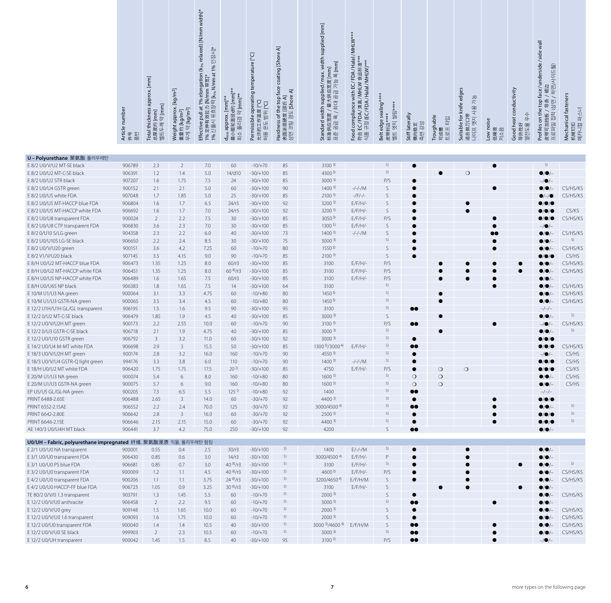|                                                                 | Article number<br>件号<br>푊 | Total thickness approx. [mm]<br>$[mm] % \begin{minipage}[b]{0.4\linewidth} \centering \includegraphics[width=\textwidth]{figs/fig_10.pdf} \centering \includegraphics[width=\textwidth]{figs/fig_10.pdf} \centering \includegraphics[width=\textwidth]{figs/fig_10.pdf} \centering \includegraphics[width=\textwidth]{figs/fig_10.pdf} \centering \includegraphics[width=\textwidth]{figs/fig_10.pdf} \centering \includegraphics[width=\textwidth]{figs/fig_10.pdf} \centering \includegraphics[width=\textwidth]{figs/fig_10.pdf} \centering \includegraphics[width=\textwidth]{figs/fig_10.pdf} \centering \includegraphics[width=\textwidth]{figs/fig_10.pdf} \centering \includegraphics[width=\textwidth]{$<br>Ξ<br>ÖГ<br>早刚<br>度约<br>总则<br>望 | $[kg/m2]$<br>approx.<br>[kg/m <sup>2</sup> ]<br>$[kg/m2]$<br>Weight a<br>무게 약<br>重量约 | longatio<br>nm 带宽]*<br><b>N/mm</b><br>i效拉力 [N/mm<br>  유효장력[k <sub>i%</sub> ]<br>$\overline{\mathbb{Q}}$<br>$\vec{a}$<br>$\overline{a}$<br>1% 定伸有3<br>1% 신율시<br>Effective | シノ\辊轮直径d约 [mm]*<br>약 [mm]**<br>∛[mm]<br>approx.<br>풀리경<br>쇠<br>暇<br>नस<br>᠊ᠤ | tempe<br>operating<br>[5<br>Doll まま<br>也<br>作温<br>Permissible<br>U-<br>允许的工作<br>에<br>용 | coat<br>face<br>$\overline{z}$<br>경도 [Shore<br>---uness of the top f:<br>表面涂层硬度 [邵氏 A]<br>상면 코팅 경도 rc· | Standard width supplied / ma<br>标准供应宽度 / 最大供应宽度 [r<br>표준 공급 폭 / 최대 공급 가능 <sup>프</sup> | with EC/FD<br><b>山処 (EC /FDA/Halal/MF</b><br>EC/FDA/清真/MHLW 食<br>compliance<br>Food<br>符合 | Belt edge sealing*<br>쐴링<br>뎃지<br>皮带封边*<br>벨트 엣지 | Stiff laterally<br>측면 강성<br>向稳<br>横  | Troughable<br>타임<br>$\vert \exists \vert$<br>可成槽<br>매<br>$\Box$ | knife edges<br>가능<br>사용<br>把口<br>Suitable for<br>织<br>做刀<br>适合做.<br>나이프 | Low noise<br>低噪音<br>저소음 | Good heat conductivity<br><sub>导热性好</sub><br><sub>열전도율 우수</sub> | under<br>J<br>하면사이<br>裙边<br>ළ<br>$\mathbb{E}$<br>$\overline{\phantom{0}}$<br>top<br>导条<br>양면<br>$\mathbf \omega$<br>祢<br>⇆<br>挡板<br>闪<br>$\overline{5}$<br>Profiles o<br>皮带可加措<br>프로파일 1 | fasteners<br>파스너<br>Mechanical f<br>机械钉扣<br>메카니컬 파스 |
|-----------------------------------------------------------------|---------------------------|-----------------------------------------------------------------------------------------------------------------------------------------------------------------------------------------------------------------------------------------------------------------------------------------------------------------------------------------------------------------------------------------------------------------------------------------------------------------------------------------------------------------------------------------------------------------------------------------------------------------------------------------------------------------------------------------------------------------------------------------------------|--------------------------------------------------------------------------------------|--------------------------------------------------------------------------------------------------------------------------------------------------------------------------|------------------------------------------------------------------------------|----------------------------------------------------------------------------------------|--------------------------------------------------------------------------------------------------------|---------------------------------------------------------------------------------------|-------------------------------------------------------------------------------------------|--------------------------------------------------|--------------------------------------|-----------------------------------------------------------------|-------------------------------------------------------------------------|-------------------------|-----------------------------------------------------------------|------------------------------------------------------------------------------------------------------------------------------------------------------------------------------------------|-----------------------------------------------------|
| U-Polyurethane 聚氨酯 폴리우레탄                                        |                           |                                                                                                                                                                                                                                                                                                                                                                                                                                                                                                                                                                                                                                                                                                                                                     |                                                                                      |                                                                                                                                                                          |                                                                              |                                                                                        |                                                                                                        |                                                                                       |                                                                                           |                                                  |                                      |                                                                 |                                                                         |                         |                                                                 |                                                                                                                                                                                          |                                                     |
| E 8/2 U0/V/U2 MT-SE black                                       | 906789                    | 2.3                                                                                                                                                                                                                                                                                                                                                                                                                                                                                                                                                                                                                                                                                                                                                 | $\overline{2}$                                                                       | 7.0                                                                                                                                                                      | 60                                                                           | $-10/+70$                                                                              | 85                                                                                                     | $3100^{3}$                                                                            |                                                                                           | 5)                                               |                                      |                                                                 |                                                                         |                         |                                                                 | 5)                                                                                                                                                                                       |                                                     |
| E 8/2 U0/U2 MT-C-SE black                                       | 906391                    | 1.2                                                                                                                                                                                                                                                                                                                                                                                                                                                                                                                                                                                                                                                                                                                                                 | 1.4                                                                                  | 5.0                                                                                                                                                                      | 14/d10                                                                       | $-30/+100$                                                                             | 85                                                                                                     | $4300^{3}$                                                                            |                                                                                           | 5)                                               |                                      |                                                                 | $\circ$                                                                 |                         |                                                                 | $\bullet$ / $\bullet$ /-                                                                                                                                                                 |                                                     |
| E 8/2 U0/U2 STR black                                           | 907207                    | 1.6                                                                                                                                                                                                                                                                                                                                                                                                                                                                                                                                                                                                                                                                                                                                                 | 1.75                                                                                 | 7.5                                                                                                                                                                      | 24                                                                           | $-30/+100$                                                                             | 85                                                                                                     | $3000^{3}$                                                                            |                                                                                           | P/S                                              |                                      |                                                                 |                                                                         |                         |                                                                 |                                                                                                                                                                                          |                                                     |
| E 8/2 U0/U4 GSTR green                                          | 900152                    | 2.1                                                                                                                                                                                                                                                                                                                                                                                                                                                                                                                                                                                                                                                                                                                                                 | 2.1                                                                                  | 5.0                                                                                                                                                                      | 60                                                                           | $-30/+100$                                                                             | 90                                                                                                     | $1400^{3}$                                                                            | $-/-/-/M$                                                                                 | S                                                |                                      |                                                                 |                                                                         |                         |                                                                 |                                                                                                                                                                                          | CS/HS/KS                                            |
| E 8/2 U0/U5 white FDA                                           | 907048                    | 1.7                                                                                                                                                                                                                                                                                                                                                                                                                                                                                                                                                                                                                                                                                                                                                 | 1.85                                                                                 | 5.0                                                                                                                                                                      | 25                                                                           | $-30/+100$                                                                             | 85                                                                                                     | 2100 <sup>3</sup>                                                                     | -/F/-/-                                                                                   | S                                                |                                      |                                                                 |                                                                         |                         |                                                                 |                                                                                                                                                                                          | CS/HS/KS                                            |
| E 8/2 U0/U5 MT-HACCP blue FDA                                   | 906804                    | 1.6                                                                                                                                                                                                                                                                                                                                                                                                                                                                                                                                                                                                                                                                                                                                                 | 1.7                                                                                  | 6.5                                                                                                                                                                      | 24/r5                                                                        | $-30/+100$                                                                             | 92                                                                                                     | 3200 <sup>3</sup>                                                                     | $E/F/H$ /-                                                                                | S                                                |                                      |                                                                 |                                                                         |                         |                                                                 |                                                                                                                                                                                          |                                                     |
| E 8/2 U0/U5 MT-HACCP white FDA                                  | 906692                    | 1.6                                                                                                                                                                                                                                                                                                                                                                                                                                                                                                                                                                                                                                                                                                                                                 | 1.7                                                                                  | 7.0                                                                                                                                                                      | 24/r5                                                                        | $-30/+100$                                                                             | 92                                                                                                     | $3200^{3}$                                                                            | $E/F/H$ /-                                                                                | S                                                | Ō                                    |                                                                 |                                                                         |                         |                                                                 |                                                                                                                                                                                          | CS/KS                                               |
| E 8/2 U0/U8 transparent FDA                                     | 900024                    | $\overline{2}$                                                                                                                                                                                                                                                                                                                                                                                                                                                                                                                                                                                                                                                                                                                                      | 2.2                                                                                  | 7.5                                                                                                                                                                      | 30                                                                           | $-30/+100$                                                                             | 85                                                                                                     | $3050^{3}$                                                                            | $E/F/H$ /-                                                                                | P/S                                              |                                      |                                                                 |                                                                         |                         |                                                                 |                                                                                                                                                                                          | CS/HS/KS                                            |
| E 8/2 U0/U8 CTP transparent FDA                                 | 906830                    | 3.6                                                                                                                                                                                                                                                                                                                                                                                                                                                                                                                                                                                                                                                                                                                                                 | 2.3                                                                                  | 7.0                                                                                                                                                                      | 30                                                                           | $-30/+100$                                                                             | 85                                                                                                     | 1300 <sup>5</sup>                                                                     | $E/F/H$ /-                                                                                | $\mathsf S$                                      |                                      |                                                                 |                                                                         |                         |                                                                 | $-/\bullet$                                                                                                                                                                              |                                                     |
| E 8/2 0/U10 S/LG green                                          | 904358                    | 2.3                                                                                                                                                                                                                                                                                                                                                                                                                                                                                                                                                                                                                                                                                                                                                 | 2.2                                                                                  | $6.0$                                                                                                                                                                    | 40                                                                           | $-30/+100$                                                                             | 73                                                                                                     | $1400^{3}$                                                                            | $-/-/-/M$                                                                                 | S                                                |                                      |                                                                 |                                                                         | 00                      |                                                                 |                                                                                                                                                                                          | CS/HS/KS                                            |
| E 8/2 U0/U10S LG-SE black                                       | 906650                    | 2.2                                                                                                                                                                                                                                                                                                                                                                                                                                                                                                                                                                                                                                                                                                                                                 | 2.4                                                                                  | 8.5                                                                                                                                                                      | 30                                                                           | $-30/+100$                                                                             | 75                                                                                                     | 3000 <sup>3</sup>                                                                     |                                                                                           | 5)                                               |                                      |                                                                 |                                                                         |                         |                                                                 |                                                                                                                                                                                          | 5)                                                  |
| E 8/2 U0/V/U20 green                                            | 900151                    | 3.6                                                                                                                                                                                                                                                                                                                                                                                                                                                                                                                                                                                                                                                                                                                                                 | 4.2                                                                                  | 7.25                                                                                                                                                                     | 60                                                                           | $-10/+70$                                                                              | 80                                                                                                     | 1550 <sup>3</sup>                                                                     |                                                                                           | S                                                |                                      |                                                                 |                                                                         |                         |                                                                 |                                                                                                                                                                                          | CS/HS/KS                                            |
| E 8/2 V1/V/U20 black                                            | 907145                    | 3.5                                                                                                                                                                                                                                                                                                                                                                                                                                                                                                                                                                                                                                                                                                                                                 | 4.15                                                                                 | 9.0                                                                                                                                                                      | 90                                                                           | $-10/+70$                                                                              | 85                                                                                                     | 2100 <sup>3</sup>                                                                     |                                                                                           | S                                                |                                      |                                                                 |                                                                         |                         |                                                                 |                                                                                                                                                                                          | CS/HS                                               |
| E 8/H U0/U2 MT-HACCP blue FDA                                   | 906473                    | 1.35                                                                                                                                                                                                                                                                                                                                                                                                                                                                                                                                                                                                                                                                                                                                                | 1.25                                                                                 | 8.0                                                                                                                                                                      | 60/r3                                                                        | $-30/+100$                                                                             | 85                                                                                                     | 3100                                                                                  | $E/F/H$ /-                                                                                | P/S                                              |                                      |                                                                 |                                                                         |                         |                                                                 |                                                                                                                                                                                          | CS/HS/KS                                            |
| E 8/H U0/U2 MT-HACCP white FDA                                  | 906451                    | 1.35                                                                                                                                                                                                                                                                                                                                                                                                                                                                                                                                                                                                                                                                                                                                                | 1.25                                                                                 | 8.0                                                                                                                                                                      | $60^{8}/r3$                                                                  | $-30/+100$                                                                             | 85                                                                                                     | 3100                                                                                  | $E/F/H$ /-                                                                                | P/S                                              |                                      |                                                                 |                                                                         |                         |                                                                 |                                                                                                                                                                                          | CS/HS/KS                                            |
| E 8/H U0/U5 NP-HACCP white FDA                                  | 906489                    | 1.6                                                                                                                                                                                                                                                                                                                                                                                                                                                                                                                                                                                                                                                                                                                                                 | 1.65                                                                                 | 7.5                                                                                                                                                                      | 60/r3                                                                        | $-30/+100$                                                                             | 85                                                                                                     | 3100                                                                                  | $E/F/H$ /-                                                                                | P/S                                              |                                      | $\bullet$                                                       |                                                                         |                         |                                                                 | $\bullet$ / $\bullet$                                                                                                                                                                    |                                                     |
| E 8/H U0/U6S NP black                                           | 906383                    | 1.8                                                                                                                                                                                                                                                                                                                                                                                                                                                                                                                                                                                                                                                                                                                                                 | 1.65                                                                                 | 7.5                                                                                                                                                                      | 14                                                                           | $-30/+100$                                                                             | 64                                                                                                     | 3100                                                                                  |                                                                                           | 5)                                               |                                      |                                                                 |                                                                         |                         |                                                                 |                                                                                                                                                                                          | CS/HS/KS                                            |
| E 10/M U1/U3 NA green                                           | 900064                    | 3.1                                                                                                                                                                                                                                                                                                                                                                                                                                                                                                                                                                                                                                                                                                                                                 | 3.3                                                                                  | 4.75                                                                                                                                                                     | 60                                                                           | $-10/ + 80$                                                                            | 80                                                                                                     | 1450 <sup>3</sup>                                                                     |                                                                                           | 5)                                               |                                      |                                                                 |                                                                         |                         |                                                                 |                                                                                                                                                                                          | CS/HS/KS                                            |
| E 10/M U1/U3 GSTR-NA green                                      | 900065                    | 3.5                                                                                                                                                                                                                                                                                                                                                                                                                                                                                                                                                                                                                                                                                                                                                 | 3.4                                                                                  | 4.5                                                                                                                                                                      | 60                                                                           | $-10/+80$                                                                              | 80                                                                                                     | $1450^{3}$                                                                            |                                                                                           | 5)                                               |                                      |                                                                 |                                                                         |                         |                                                                 | $\bullet$ /e                                                                                                                                                                             | CS/HS/KS                                            |
| E 12/2 U1H/U1H GL/GL transparent                                | 906195                    | 1.5                                                                                                                                                                                                                                                                                                                                                                                                                                                                                                                                                                                                                                                                                                                                                 | 1.6                                                                                  | 9.5                                                                                                                                                                      | 90                                                                           | $-30/+100$                                                                             | 95                                                                                                     | 3100                                                                                  |                                                                                           | 5)                                               | $\bullet\bullet$                     |                                                                 |                                                                         |                         |                                                                 | $-/-/-$                                                                                                                                                                                  |                                                     |
| E 12/2 0/U2 MT-C-SE black                                       | 906479                    | 1.85                                                                                                                                                                                                                                                                                                                                                                                                                                                                                                                                                                                                                                                                                                                                                | 1.9                                                                                  | 4.5                                                                                                                                                                      | 40                                                                           | $-30/+100$                                                                             | 85                                                                                                     | $3000^{3}$                                                                            |                                                                                           | S                                                |                                      |                                                                 |                                                                         |                         |                                                                 | $\bullet$ /O                                                                                                                                                                             | 5)                                                  |
| E 12/2 U0/V/U2H MT green                                        | 900173                    | 2.2                                                                                                                                                                                                                                                                                                                                                                                                                                                                                                                                                                                                                                                                                                                                                 | 2.55                                                                                 | 10.0                                                                                                                                                                     | 60                                                                           | $-10/+70$                                                                              | 90                                                                                                     | $3100^{3}$                                                                            |                                                                                           | P/S<br>5)                                        | $\bullet\bullet$                     |                                                                 |                                                                         |                         |                                                                 | -/0                                                                                                                                                                                      | CS/HS/KS<br>5)                                      |
| E 12/2 0/U3 GSTR-C-SE black                                     | 906718                    | 2.1                                                                                                                                                                                                                                                                                                                                                                                                                                                                                                                                                                                                                                                                                                                                                 | 1.9                                                                                  | 4.75                                                                                                                                                                     | 40                                                                           | $-30/+100$                                                                             | 85                                                                                                     | 3000 <sup>3</sup>                                                                     |                                                                                           | 5)                                               |                                      | $\bullet$                                                       |                                                                         |                         |                                                                 | $\bullet$ /O                                                                                                                                                                             |                                                     |
| E 12/2 U0/U10 GSTR green                                        | 906792                    | $\overline{3}$                                                                                                                                                                                                                                                                                                                                                                                                                                                                                                                                                                                                                                                                                                                                      | 3.2                                                                                  | 11.0                                                                                                                                                                     | 60                                                                           | $-30/+100$                                                                             | 92                                                                                                     | $3000^{3}$                                                                            |                                                                                           | 5)                                               | $\bullet$                            |                                                                 |                                                                         |                         |                                                                 | $\bullet$ / $\bullet$                                                                                                                                                                    |                                                     |
| E 14/2 U0/U4 M-MT white FDA                                     | 906698                    | 2.9<br>2.8                                                                                                                                                                                                                                                                                                                                                                                                                                                                                                                                                                                                                                                                                                                                          | $\overline{3}$<br>3.2                                                                | 15.5<br>16.0                                                                                                                                                             | 50                                                                           | $-30/+100$                                                                             | 85<br>90                                                                                               | 13003)/30004)<br>$4550^{3}$                                                           | $E/F/H$ /-                                                                                | 5)                                               | 80                                   |                                                                 |                                                                         |                         |                                                                 | $\bullet$ / $\bullet$                                                                                                                                                                    | CS/HS/KS<br>CS/HS                                   |
| E 18/3 U0/V/U2H MT green                                        | 900174                    | 3.3                                                                                                                                                                                                                                                                                                                                                                                                                                                                                                                                                                                                                                                                                                                                                 |                                                                                      |                                                                                                                                                                          | 160                                                                          | $-10/+70$<br>$-10/+70$                                                                 |                                                                                                        | $1400^{3}$                                                                            | $-/-/-/M$                                                                                 | 5)                                               | $\bullet$                            |                                                                 |                                                                         |                         |                                                                 | $-/\bullet/-$                                                                                                                                                                            | CS/HS                                               |
| E 18/3 U0/V/U4 GSTR-Q light green<br>E 18/H U0/U2 MT white FDA  | 994176<br>906420          | 1.75                                                                                                                                                                                                                                                                                                                                                                                                                                                                                                                                                                                                                                                                                                                                                | 3.8<br>1.75                                                                          | $6.0$<br>17.5                                                                                                                                                            | 110<br>$20^{2}$                                                              | $-30/+100$                                                                             | 90<br>85                                                                                               | 4750                                                                                  | $E/F/H$ /-                                                                                | P/S                                              | $\bullet$                            | $\circ$                                                         | $\circ$                                                                 |                         |                                                                 | $\bullet$ / $\bullet$ / $\bullet$<br>$\bullet$ / $\bullet$ / $\bullet$                                                                                                                   | CS/KS                                               |
| E 20/M U1/U3 NA green                                           | 900074                    | 5.4                                                                                                                                                                                                                                                                                                                                                                                                                                                                                                                                                                                                                                                                                                                                                 | 6                                                                                    | 8.0                                                                                                                                                                      | 160                                                                          | $-10/+80$                                                                              | 80                                                                                                     | 1600 <sup>3</sup>                                                                     |                                                                                           | 5)                                               | $\circ$                              | $\circ$                                                         |                                                                         |                         |                                                                 | $\bullet$ / $\bullet$ / $-$                                                                                                                                                              | CS/HS                                               |
| E 20/M U1/U3 GSTR-NA green                                      | 900075                    | 5.7                                                                                                                                                                                                                                                                                                                                                                                                                                                                                                                                                                                                                                                                                                                                                 | 6                                                                                    | 9.0                                                                                                                                                                      | 160                                                                          | $-10/ + 80$                                                                            | 80                                                                                                     | 1600 <sup>3</sup>                                                                     |                                                                                           | 5)                                               | $\circ$                              | $\circ$                                                         |                                                                         |                         |                                                                 | $\bullet/\bullet/-$                                                                                                                                                                      | CS/HS                                               |
| EP U5/U5 GL/GL-NA green                                         | 900205                    | 7.3                                                                                                                                                                                                                                                                                                                                                                                                                                                                                                                                                                                                                                                                                                                                                 | 6.5                                                                                  | 5.5                                                                                                                                                                      | 125 <sup>1</sup>                                                             | $-10/+80$                                                                              | 92                                                                                                     | 1400                                                                                  |                                                                                           | 5)                                               | 00                                   |                                                                 |                                                                         |                         |                                                                 | $-/-/-$                                                                                                                                                                                  |                                                     |
| PRINT 6488-2.65E                                                | 906488                    | 2.65                                                                                                                                                                                                                                                                                                                                                                                                                                                                                                                                                                                                                                                                                                                                                | $\overline{3}$                                                                       | 14.0                                                                                                                                                                     | 60                                                                           | $-30/+70$                                                                              | 92                                                                                                     | 4400 3)                                                                               |                                                                                           | 5)                                               | $\bullet$                            |                                                                 |                                                                         |                         |                                                                 | $\bullet$ / $\bullet$                                                                                                                                                                    |                                                     |
| PRINT 6552-2.15AE                                               | 906552                    | 2.2                                                                                                                                                                                                                                                                                                                                                                                                                                                                                                                                                                                                                                                                                                                                                 | 2.4                                                                                  | 70.0                                                                                                                                                                     | 125                                                                          | $-30/+70$                                                                              | 92                                                                                                     | 3000/45004)                                                                           |                                                                                           | 5)                                               | 00                                   |                                                                 |                                                                         |                         |                                                                 |                                                                                                                                                                                          | 5)                                                  |
| PRINT 6642-2.80E                                                | 906642                    | 2.8                                                                                                                                                                                                                                                                                                                                                                                                                                                                                                                                                                                                                                                                                                                                                 | $\mathbf{3}$                                                                         | 16.0                                                                                                                                                                     | 60                                                                           | $-30/+70$                                                                              | 92                                                                                                     | 2500 <sup>3</sup>                                                                     |                                                                                           | 5)                                               |                                      |                                                                 |                                                                         |                         |                                                                 |                                                                                                                                                                                          | 5)                                                  |
| PRINT 6646-2.15E                                                | 906646                    | 2.15                                                                                                                                                                                                                                                                                                                                                                                                                                                                                                                                                                                                                                                                                                                                                | 2.15                                                                                 | 15.0                                                                                                                                                                     | 60                                                                           | $-30/+70$                                                                              | 92                                                                                                     | $4400^{3}$                                                                            |                                                                                           | 5)                                               |                                      |                                                                 |                                                                         |                         |                                                                 |                                                                                                                                                                                          | 5)                                                  |
| AE 140/3 U0/U4H MT black                                        | 906441                    | 3.7                                                                                                                                                                                                                                                                                                                                                                                                                                                                                                                                                                                                                                                                                                                                                 | 4.2                                                                                  | 75.0                                                                                                                                                                     | 250                                                                          | $-30/+100$                                                                             | 92                                                                                                     | 4200                                                                                  |                                                                                           | <sub>S</sub>                                     | $\bullet\bullet$                     |                                                                 |                                                                         |                         |                                                                 | $\bullet/\bullet/-$                                                                                                                                                                      |                                                     |
|                                                                 |                           |                                                                                                                                                                                                                                                                                                                                                                                                                                                                                                                                                                                                                                                                                                                                                     |                                                                                      |                                                                                                                                                                          |                                                                              |                                                                                        |                                                                                                        |                                                                                       |                                                                                           |                                                  |                                      |                                                                 |                                                                         |                         |                                                                 |                                                                                                                                                                                          |                                                     |
| U0/UH - Fabric, polyurethane impregnated 纤维, 聚氨酯浸渍 직물, 폴리우레탄 함침 |                           |                                                                                                                                                                                                                                                                                                                                                                                                                                                                                                                                                                                                                                                                                                                                                     |                                                                                      |                                                                                                                                                                          |                                                                              |                                                                                        |                                                                                                        |                                                                                       |                                                                                           |                                                  |                                      |                                                                 |                                                                         |                         |                                                                 |                                                                                                                                                                                          |                                                     |
| E 2/1 U0/U0 NA transparent                                      | 900001                    | 0.55                                                                                                                                                                                                                                                                                                                                                                                                                                                                                                                                                                                                                                                                                                                                                | 0.4                                                                                  | 2.5                                                                                                                                                                      | 30/r3                                                                        | $-30/+100$                                                                             | 5)                                                                                                     | 1400                                                                                  | $E/-/-/M$                                                                                 | 5)                                               |                                      |                                                                 |                                                                         |                         |                                                                 | $\bullet/\bullet/-$                                                                                                                                                                      |                                                     |
| E 3/1 U0/U0 transparent FDA                                     | 906430                    | 0.85                                                                                                                                                                                                                                                                                                                                                                                                                                                                                                                                                                                                                                                                                                                                                | 0.6                                                                                  | 3.0                                                                                                                                                                      | 14/r3                                                                        | $-30/+100$                                                                             | 5)                                                                                                     | 3000/45004)                                                                           | $E/F/H/-$                                                                                 | P                                                | $\bullet$                            |                                                                 |                                                                         |                         |                                                                 | $\bullet$ / $\bullet$ / $\hbox{--}$                                                                                                                                                      |                                                     |
| E 3/1 U0/U0 PS blue FDA                                         | 906681                    | 0.85                                                                                                                                                                                                                                                                                                                                                                                                                                                                                                                                                                                                                                                                                                                                                | 0.7                                                                                  | 3.0                                                                                                                                                                      | $40^{8}/r3$                                                                  | $-30/+100$                                                                             | 5)<br>5)                                                                                               | 3100                                                                                  | $E/F/H$ /-                                                                                | 5)                                               |                                      |                                                                 |                                                                         |                         |                                                                 | $\bullet$ / $\bullet$ / $-$                                                                                                                                                              | 5)                                                  |
| E 3/2 U0/U0 transparent FDA                                     | 900009                    | 1.2                                                                                                                                                                                                                                                                                                                                                                                                                                                                                                                                                                                                                                                                                                                                                 | 1.1                                                                                  | 4.5                                                                                                                                                                      | $40^{8}/r3$                                                                  | $-30/+100$                                                                             |                                                                                                        | $4600^{3}$                                                                            | $E/F/H$ /-                                                                                | P/S                                              |                                      |                                                                 |                                                                         |                         |                                                                 | 6/0                                                                                                                                                                                      | CS/HS/KS                                            |
| E 4/2 U0/U0 transparent FDA                                     | 900206                    | 1.1                                                                                                                                                                                                                                                                                                                                                                                                                                                                                                                                                                                                                                                                                                                                                 | 1.1                                                                                  | 3.75                                                                                                                                                                     | $24^{8}/r3$                                                                  | $-30/+100$                                                                             | 5)                                                                                                     | 3200/4650 <sup>4)</sup>                                                               | E/F/H/M                                                                                   | S                                                | $\bullet$                            |                                                                 |                                                                         |                         |                                                                 | $\bullet$ / $\bullet$                                                                                                                                                                    | CS/HS/KS                                            |
| E 4/2 U0/U0 HACCP-FF blue FDA                                   | 906723                    | 1.05                                                                                                                                                                                                                                                                                                                                                                                                                                                                                                                                                                                                                                                                                                                                                | 0.9                                                                                  | 3.25                                                                                                                                                                     | $30^{8}/r3$                                                                  | $-30/+100$                                                                             | 5)                                                                                                     | 3100                                                                                  | $E/F/H$ /-                                                                                | S                                                |                                      |                                                                 |                                                                         |                         |                                                                 | $\bullet$ / $\bullet$                                                                                                                                                                    |                                                     |
| TE 80/2 0/V/0 1.3 transparent                                   | 903791                    | 1.3                                                                                                                                                                                                                                                                                                                                                                                                                                                                                                                                                                                                                                                                                                                                                 | 1.45                                                                                 | 5.5                                                                                                                                                                      | 60                                                                           | $-10/+70$                                                                              | 5)<br>5)                                                                                               | 2000 <sup>3</sup>                                                                     |                                                                                           | $\mathsf S$<br>5)                                | ●                                    |                                                                 |                                                                         |                         |                                                                 | $\bullet$ / $\bullet$ / $\overline{\phantom{a}}$                                                                                                                                         | CS/HS/KS                                            |
| E 12/2 U0/V/U0 anthracite                                       | 906458                    | $\overline{2}$                                                                                                                                                                                                                                                                                                                                                                                                                                                                                                                                                                                                                                                                                                                                      | 2.2                                                                                  | 9.5                                                                                                                                                                      | 60                                                                           | $-10/+70$                                                                              | 5)                                                                                                     | $3000^{3}$                                                                            |                                                                                           |                                                  | $\bullet\bullet$                     |                                                                 |                                                                         |                         |                                                                 | $\bullet$ / $\bullet$ /-                                                                                                                                                                 |                                                     |
| E 12/2 U0/V/U0 grey                                             | 909148                    | 1.5                                                                                                                                                                                                                                                                                                                                                                                                                                                                                                                                                                                                                                                                                                                                                 | 1.65                                                                                 | 10.0                                                                                                                                                                     | 60                                                                           | $-10/+70$                                                                              | 5)                                                                                                     | 2000 <sup>3</sup><br>2000 <sup>3</sup>                                                |                                                                                           | S<br>S                                           | $\bullet$<br>$\bullet$               |                                                                 |                                                                         |                         |                                                                 |                                                                                                                                                                                          | CS/HS/KS                                            |
| E 12/2 U0/V/U0 1.6 transparent                                  | 909093                    | 1.6                                                                                                                                                                                                                                                                                                                                                                                                                                                                                                                                                                                                                                                                                                                                                 | 1.75                                                                                 | 10.0                                                                                                                                                                     | 60                                                                           | $-10/+70$<br>$-30/+100$                                                                | 5)                                                                                                     | 3000 3)/4600 4)                                                                       |                                                                                           | S                                                |                                      |                                                                 |                                                                         |                         |                                                                 |                                                                                                                                                                                          | CS/HS/KS<br>CS/HS/KS                                |
| E 12/2 U0/U0 transparent FDA<br>E 12/2 U0/V/U0 SE black         | 900040<br>999903          | 1.4<br>$\overline{2}$                                                                                                                                                                                                                                                                                                                                                                                                                                                                                                                                                                                                                                                                                                                               | 1.4<br>2.3                                                                           | 10.5<br>10.5                                                                                                                                                             | 40<br>60                                                                     | $-10/+70$                                                                              | 5)                                                                                                     | $3000^{3}$                                                                            | E/F/H/M                                                                                   | 5)                                               | $\bullet\bullet$<br>$\bullet\bullet$ |                                                                 |                                                                         |                         |                                                                 |                                                                                                                                                                                          | CS/HS/KS                                            |
| E 12/2 U0/UH transparent                                        | 900042                    | 1.45                                                                                                                                                                                                                                                                                                                                                                                                                                                                                                                                                                                                                                                                                                                                                | 1.5                                                                                  | 8.5                                                                                                                                                                      | 40                                                                           | $-30/+100$                                                                             | 95                                                                                                     | $3100^{3}$                                                                            |                                                                                           | P/S                                              | $\bullet\bullet$                     |                                                                 |                                                                         |                         |                                                                 | $-/\bullet$                                                                                                                                                                              |                                                     |
|                                                                 |                           |                                                                                                                                                                                                                                                                                                                                                                                                                                                                                                                                                                                                                                                                                                                                                     |                                                                                      |                                                                                                                                                                          |                                                                              |                                                                                        |                                                                                                        |                                                                                       |                                                                                           |                                                  |                                      |                                                                 |                                                                         |                         |                                                                 |                                                                                                                                                                                          |                                                     |

| E 2/1 U0/U0 NA transparent     | 900001 | 0.55 | 0.4           | 2.5  | 30/r3       | $-30/+100$ | 5)  | 1400            | $E/-/-/M$ | 5)  |                  |  |           | $\bullet$ / $\bullet$ / $-$ |          |
|--------------------------------|--------|------|---------------|------|-------------|------------|-----|-----------------|-----------|-----|------------------|--|-----------|-----------------------------|----------|
| E 3/1 U0/U0 transparent FDA    | 906430 | 0.85 | 0.6           | 3.0  | 14/r3       | $-30/+100$ | 5)  | 3000/45004      | $E/F/H/-$ | P   |                  |  |           | $\bullet$ / $\bullet$ / $-$ |          |
| E 3/1 U0/U0 PS blue FDA        | 906681 | 0.85 | 0.7           | 3.0  | $40^{8}/r3$ | $-30/+100$ | 5)  | 3100            | $E/F/H/-$ | 5)  |                  |  | $\bullet$ | $\bullet$ / $\bullet$ /-    |          |
| E 3/2 U0/U0 transparent FDA    | 900009 |      |               | 4.5  | $40^{8}/r3$ | $-30/+100$ | 5)  | $4600^{3}$      | $E/F/H/-$ | P/S |                  |  |           | $\bullet$ / $\bullet$ / $-$ | CS/HS/KS |
| E 4/2 U0/U0 transparent FDA    | 900206 | 1.1  | $1.1^{\circ}$ | 3.75 | $24^{8}/r3$ | $-30/+100$ | 5)  | 3200/46504)     | E/F/H/M   |     |                  |  |           | $\bullet$ / $\bullet$ / $-$ | CS/HS/KS |
| E 4/2 U0/U0 HACCP-FF blue FDA  | 906723 | 1.05 | 0.9           | 3.25 | $30^{8}/r3$ | $-30/+100$ | -5) | 3100            | $E/F/H/-$ |     |                  |  | $\bullet$ | $\bullet$ / $\bullet$ / $-$ |          |
| TE 80/2 0/V/0 1.3 transparent  | 903791 | 1.3  | 1.45          | 5.5  | 60          | $-10/+70$  | 5)  | $2000^{3}$      |           |     |                  |  |           | $\bullet$ / $\bullet$ /-    | CS/HS/KS |
| E 12/2 U0/V/U0 anthracite      | 906458 |      | 2.2           | 9.5  | 60          | $-10/+70$  | 5)  | $3000^{3}$      |           | 5)  | $\bullet\bullet$ |  |           | $\bullet$ / $\bullet$ / $-$ |          |
| E 12/2 U0/V/U0 grey            | 909148 | 1.5  | 1.65          | 10.0 | 60          | $-10/+70$  | 5)  | $2000^{3}$      |           |     |                  |  |           | $\bullet$ / $\bullet$ /-    | CS/HS/KS |
| E 12/2 U0/V/U0 1.6 transparent | 909093 | 1.6  | 1.75          | 10.0 | 60          | $-10/+70$  | 5)  | $2000^{3}$      |           |     |                  |  |           | $\bullet$ / $\bullet$ / $-$ | CS/HS/KS |
| E 12/2 U0/U0 transparent FDA   | 900040 | 1.4  | 1.4           | 10.5 | 40          | $-30/+100$ | 5)  | 3000 3)/4600 4) | E/F/H/M   |     | $\bullet\bullet$ |  |           | $\bullet/\bullet/-$         | CS/HS/KS |
| E 12/2 U0/V/U0 SE black        | 999903 |      | 2.3           | 10.5 | 60          | $-10/+70$  | 5)  | $3000^{3}$      |           | 5)  | $\bullet\bullet$ |  |           | $\bullet$ / $\bullet$ / $-$ | CS/HS/KS |
| E 12/2 U0/UH transparent       | 900042 | 1.45 | 1.5           | 8.5  | 40          | $-30/+100$ | 95  | $3100^{3}$      |           | P/S | $\bullet\bullet$ |  |           | $-/\bullet/-$               |          |
|                                |        |      |               |      |             |            |     |                 |           |     |                  |  |           |                             |          |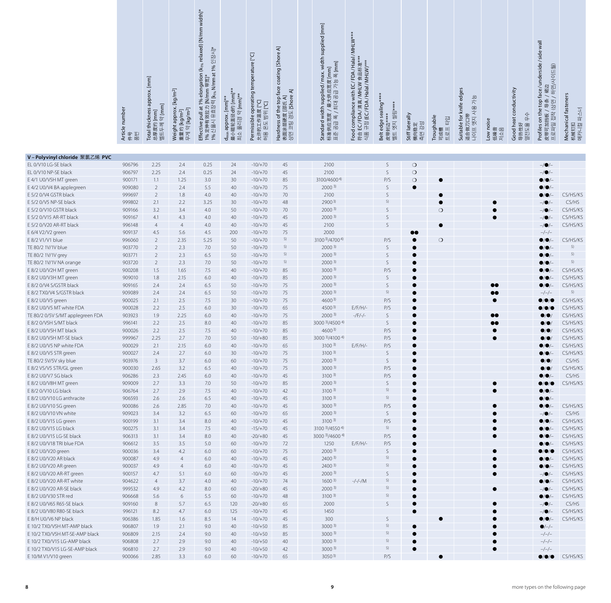| Article number<br>件号                                                                                                                             |
|--------------------------------------------------------------------------------------------------------------------------------------------------|
| Total thickness approx. [mm]<br><sub>总厚度约</sub> [mm]<br>벨트두께 약 [mm]<br>풀펀                                                                        |
| Weight approx. [kg/m <sup>2</sup> ]<br>重量约 [kg/m <sup>2</sup> ]<br>무게 약 [kg/m <sup>2</sup> ]                                                     |
| Effective pull at 1% elongation (k <sub>1% </sub> relaxed) [N/mm width]*<br>1% 定伸有效拉力 [N/mm 带宽]*<br>1% 신율시 유효장력 [k <sub>%</sub> N/mm at 1% 인장시]* |
| d <sub>min</sub> approx. [mm]**<br>最小辊轮直径d约 [mm]**<br>폴리경 약 [mm]*<br>쇠소                                                                          |
| Permissible operating temperature [°C]<br>允许的工作温度 [°C]<br>허용 온도 범위 [°C]                                                                          |
| Hardness of the top face coating [Shore A]<br>表面涂层硬度 [邵氏 A]<br>상면 코팅 경도 [Shore A]                                                                |
|                                                                                                                                                  |
| Standard width supplied / max. width supplied [mm]<br>标准供应宽度 / 最大供应宽度 [mm]<br>표준 공급 폭 / 최대 공급 가능 폭 [mm]                                          |
| Food compliance with EC/FDA/Halal/MHLW***<br>符合 EC/FDA/清真/MHLW 食品标准***<br>식품 규정 (EC/FDA/Halal/MHLW)***                                           |
| Belt edge sealing****<br>皮带封边****<br>벨트 엣지 씰링*****                                                                                               |
| Stiff laterally<br>측면 강성<br>横向稳定                                                                                                                 |
| Troughable<br>트로프 타입<br>可成槽                                                                                                                      |
| Suitable for knife edges<br>适合做刀口带<br>나이프 엣지 사용 가능                                                                                               |
| Low noise<br>低噪音<br>저소음                                                                                                                          |
| Good heat conductivity<br>수<br>导热性好<br>열전도율                                                                                                      |
| Profiles on the top face/underside/ side wall<br>皮带可加挡板 / 导条 / 裙边<br>프로파일 접착 (상면 / 하면/사이드월)                                                      |
| Mechanical fasteners<br>机械钉扣<br>메카니컬 파스너                                                                                                         |
|                                                                                                                                                  |

|                                                       | Article number<br>푊<br>마 | Total thickness approx. [mm]<br>$[mm] % \begin{minipage}[b]{0.5\linewidth} \centering \includegraphics[width=\linewidth]{images/STN1000.jpg} \centering \includegraphics[width=\linewidth]{images/STN1000.jpg} \centering \includegraphics[width=\linewidth]{images/STN1000.jpg} \centering \includegraphics[width=\linewidth]{images/STN1000.jpg} \centering \includegraphics[width=\linewidth]{images/STN1000.jpg} \centering \includegraphics[width=\linewidth]{images/STN1000.jpg} \centering \includegraphics[width=\linewidth]{images/STN10000.jpg} \centering \includegraphics[width=\linewidth]{images/STN10000.jpg} \centering \includegraphics[width=\linewidth]{images/STN10000.jpg} \centering \includegraphics[width=\$<br>ÖГ<br>度约<br>早刚<br>⊪<br>삚<br>坂 | $[kg/m2]$<br>Weight approx. [<br>重量约 [kg/m <sup>2</sup> ]<br>[kg/m <sup>2</sup> ]<br>무게 약 | longatio<br>nm 带宽]*<br><b>N/mm</b><br>i效拉力 [N/mm<br>  유효장력[k <sub>i%</sub> ]<br>$\overline{\mathbb{Q}}$<br>1%<br>$\overline{\mathfrak{a}}$<br>$\overline{u}$<br>1% 定伸有3<br>1% 신율시<br>Effective | {小辊轮直径d约 [mm]*<br>약 [mm]**<br>[mm]*<br>approx.<br>최소 풀리경<br>暇<br>᠊ᠤ | tempe<br>operating<br>[5<br>Eal Ha<br>也<br>允许的工作温!<br>허용 온도 범우<br>Permissible | coat<br>face<br>$\overline{\mathbf{z}}$<br>경도 [Shore<br>---uness of the top f:<br>表面涂层硬度 [邵氏 A]<br>상면 코팅 경도 rc' | Standard width supplied/ma<br>标准供应宽度 / 最大供应宽度 [r<br>표준 공급 폭 / 최대 공급 가능 <sub>품</sub> | with EC/FD<br>EC/FDA/清真/MHLW 食<br>규정 (EC /FDA/ Halal/ MH<br>compliance<br>Food<br>符合 | Belt edge sealing <sup>*</sup><br>쐴링**<br>핏<br>皮带封边*<br>벨트 엣지 | Stiff laterally<br>측면 강성<br>伿<br>向稳<br>横 | Troughable<br>타임<br>$\vert \exists \vert$<br>可成槽<br>매<br>$\Box$ | Suitable for knife edges<br>가능<br>생시<br>뎃지<br>$\Box$<br>做刀<br>프아<br>近色 | (noise<br>[価値]<br>Low<br>低噪<br>저소 | conductivity<br>Good heat<br>아<br>导热性好<br>열전도율 | ﴾ / 裙边<br>/ 하면/사이<br>ce/unde<br>$\mathbb{E}$<br>/ <sup>통</sup><br>상면<br>$\Omega$<br>$\overline{Q}$<br>ŧ<br>접학<br>皮带可加挡板 /<br>프로파일 접착<br>δ<br>Profiles | fasteners<br>Mechanical faste<br>机械钉扣<br>메카니컬 파스너 |
|-------------------------------------------------------|--------------------------|-----------------------------------------------------------------------------------------------------------------------------------------------------------------------------------------------------------------------------------------------------------------------------------------------------------------------------------------------------------------------------------------------------------------------------------------------------------------------------------------------------------------------------------------------------------------------------------------------------------------------------------------------------------------------------------------------------------------------------------------------------------------------|-------------------------------------------------------------------------------------------|------------------------------------------------------------------------------------------------------------------------------------------------------------------------------------------------|---------------------------------------------------------------------|-------------------------------------------------------------------------------|-----------------------------------------------------------------------------------------------------------------|-------------------------------------------------------------------------------------|--------------------------------------------------------------------------------------|---------------------------------------------------------------|------------------------------------------|-----------------------------------------------------------------|------------------------------------------------------------------------|-----------------------------------|------------------------------------------------|-------------------------------------------------------------------------------------------------------------------------------------------------------|---------------------------------------------------|
|                                                       |                          |                                                                                                                                                                                                                                                                                                                                                                                                                                                                                                                                                                                                                                                                                                                                                                       |                                                                                           |                                                                                                                                                                                                |                                                                     |                                                                               |                                                                                                                 |                                                                                     |                                                                                      |                                                               |                                          |                                                                 |                                                                        |                                   |                                                |                                                                                                                                                       |                                                   |
| V-Polyvinyl chloride 聚氯乙烯 PVC<br>EL 0/V10 LG-SE black | 906796                   | 2.25                                                                                                                                                                                                                                                                                                                                                                                                                                                                                                                                                                                                                                                                                                                                                                  | 2.4                                                                                       | 0.25                                                                                                                                                                                           | 24                                                                  | $-10/+70$                                                                     | 45                                                                                                              | 2100                                                                                |                                                                                      | S                                                             | $\bigcirc$                               |                                                                 |                                                                        |                                   |                                                | $-/\bullet/-$                                                                                                                                         |                                                   |
| EL 0/V10 NP-SE black                                  | 906797                   | 2.25                                                                                                                                                                                                                                                                                                                                                                                                                                                                                                                                                                                                                                                                                                                                                                  | 2.4                                                                                       | 0.25                                                                                                                                                                                           | 24                                                                  | $-10/+70$                                                                     | $45\,$                                                                                                          | 2100                                                                                |                                                                                      | S                                                             | $\circ$                                  |                                                                 |                                                                        |                                   |                                                | $-/\bullet/-$                                                                                                                                         |                                                   |
| E 4/1 U0/V5H MT green                                 | 900171                   | 1.1                                                                                                                                                                                                                                                                                                                                                                                                                                                                                                                                                                                                                                                                                                                                                                   | 1.25                                                                                      | 3.0                                                                                                                                                                                            | 30                                                                  | $-10/+70$                                                                     | 85                                                                                                              | 3100/46004)                                                                         |                                                                                      | P/S                                                           | $\circ$                                  |                                                                 |                                                                        |                                   |                                                | 9/0                                                                                                                                                   |                                                   |
| E 4/2 U0/V4 BA applegreen                             | 909080                   | $\overline{2}$                                                                                                                                                                                                                                                                                                                                                                                                                                                                                                                                                                                                                                                                                                                                                        | 2.4                                                                                       | 5.5                                                                                                                                                                                            | 40                                                                  | $-10/+70$                                                                     | 75                                                                                                              | 2000 <sup>3</sup>                                                                   |                                                                                      | S                                                             |                                          |                                                                 |                                                                        |                                   |                                                | $\bullet$ / $\bullet$ / $\overline{\phantom{a}}$                                                                                                      |                                                   |
| E 5/2 0/V4 GSTR black                                 | 999697                   | $\overline{2}$                                                                                                                                                                                                                                                                                                                                                                                                                                                                                                                                                                                                                                                                                                                                                        | 1.8                                                                                       | 4.0                                                                                                                                                                                            | 40                                                                  | $-10/+70$                                                                     | 70                                                                                                              | 2100                                                                                |                                                                                      | S                                                             |                                          | $\bullet$                                                       |                                                                        |                                   |                                                |                                                                                                                                                       | CS/HS/KS                                          |
| E 5/2 0/V5 NP-SE black                                | 999802                   | 2.1                                                                                                                                                                                                                                                                                                                                                                                                                                                                                                                                                                                                                                                                                                                                                                   | 2.2                                                                                       | 3.25                                                                                                                                                                                           | 30                                                                  | $-10/+70$                                                                     | 48                                                                                                              | 2900 <sup>3</sup>                                                                   |                                                                                      | 5)                                                            |                                          | e                                                               |                                                                        |                                   |                                                |                                                                                                                                                       | CS/HS                                             |
| E 5/2 0/V10 GSTR black                                | 909166                   | 3.2                                                                                                                                                                                                                                                                                                                                                                                                                                                                                                                                                                                                                                                                                                                                                                   | 3.4                                                                                       | 4.0                                                                                                                                                                                            | 50                                                                  | $-10/+70$                                                                     | 70                                                                                                              | 2000 <sup>3</sup>                                                                   |                                                                                      | S                                                             |                                          | $\circ$                                                         |                                                                        |                                   |                                                | $-/\bullet$                                                                                                                                           | CS/HS/KS                                          |
| E 5/2 0/V15 AR-RT black                               | 909167                   | 4.1                                                                                                                                                                                                                                                                                                                                                                                                                                                                                                                                                                                                                                                                                                                                                                   | 4.3                                                                                       | 4.0                                                                                                                                                                                            | 40                                                                  | $-10/+70$                                                                     | 45                                                                                                              | 2000 <sup>3</sup>                                                                   |                                                                                      | S                                                             |                                          |                                                                 |                                                                        |                                   |                                                |                                                                                                                                                       | CS/HS/KS                                          |
| E 5/2 0/V20 AR-RT black                               | 996148                   | $\overline{4}$                                                                                                                                                                                                                                                                                                                                                                                                                                                                                                                                                                                                                                                                                                                                                        | $\overline{4}$                                                                            | 4.0                                                                                                                                                                                            | 40                                                                  | $-10/+70$                                                                     | 45                                                                                                              | 2100                                                                                |                                                                                      | S                                                             |                                          | $\bullet$                                                       |                                                                        |                                   |                                                | $-/\bullet$                                                                                                                                           | CS/HS/KS                                          |
| E 6/4 V2/V2 green                                     | 909137                   | 4.5                                                                                                                                                                                                                                                                                                                                                                                                                                                                                                                                                                                                                                                                                                                                                                   | 5.6                                                                                       | 4.5                                                                                                                                                                                            | 200                                                                 | $-10/+70$                                                                     | 75                                                                                                              | 2000                                                                                |                                                                                      |                                                               | $\bullet\bullet$                         |                                                                 |                                                                        |                                   |                                                | $-/-/-$                                                                                                                                               |                                                   |
| E 8/2 V1/V1 blue                                      | 996060                   | $\overline{2}$                                                                                                                                                                                                                                                                                                                                                                                                                                                                                                                                                                                                                                                                                                                                                        | 2.35                                                                                      | 5.25                                                                                                                                                                                           | 50                                                                  | $-10/+70$                                                                     | 5)                                                                                                              | 3100 3) / 4700 4)                                                                   |                                                                                      | P/S                                                           |                                          | $\circ$                                                         |                                                                        |                                   |                                                | 8/0                                                                                                                                                   | CS/HS/KS                                          |
| TE 80/2 1V/1V blue                                    | 903770                   | $\overline{2}$                                                                                                                                                                                                                                                                                                                                                                                                                                                                                                                                                                                                                                                                                                                                                        | 2.3                                                                                       | 7.0                                                                                                                                                                                            | 50                                                                  | $-10/+70$                                                                     | 5)                                                                                                              | 2000 <sup>3</sup>                                                                   |                                                                                      | S                                                             | ●                                        |                                                                 |                                                                        |                                   |                                                | 8/0                                                                                                                                                   | 5)                                                |
| TE 80/2 1V/1V grey                                    | 903771                   | $\overline{2}$                                                                                                                                                                                                                                                                                                                                                                                                                                                                                                                                                                                                                                                                                                                                                        | 2.3                                                                                       | 6.5                                                                                                                                                                                            | 50                                                                  | $-10/+70$                                                                     | 5)                                                                                                              | 2000 <sup>3</sup>                                                                   |                                                                                      | S                                                             |                                          |                                                                 |                                                                        |                                   |                                                | 8/0.                                                                                                                                                  | 5)                                                |
| TE 80/2 1V/1V NA orange                               | 903720                   | $\overline{2}$                                                                                                                                                                                                                                                                                                                                                                                                                                                                                                                                                                                                                                                                                                                                                        | 2.3                                                                                       | 7.0                                                                                                                                                                                            | 50                                                                  | $-10/+70$                                                                     | 5)                                                                                                              | 2000 <sup>3</sup>                                                                   |                                                                                      | S                                                             |                                          |                                                                 |                                                                        |                                   |                                                | 8/6                                                                                                                                                   | 5)                                                |
| E 8/2 U0/V2H MT green                                 | 900208                   | 1.5                                                                                                                                                                                                                                                                                                                                                                                                                                                                                                                                                                                                                                                                                                                                                                   | 1.65                                                                                      | 7.5                                                                                                                                                                                            | 40                                                                  | $-10/+70$                                                                     | 85                                                                                                              | $3000^{3}$                                                                          |                                                                                      | P/S                                                           |                                          |                                                                 |                                                                        |                                   |                                                |                                                                                                                                                       | CS/HS/KS                                          |
| E 8/2 U0/V3H MT green                                 | 909010                   | 1.8                                                                                                                                                                                                                                                                                                                                                                                                                                                                                                                                                                                                                                                                                                                                                                   | 2.15                                                                                      | 6.0                                                                                                                                                                                            | 40                                                                  | $-10/+70$                                                                     | 85                                                                                                              | 2000 <sup>3</sup>                                                                   |                                                                                      | S                                                             |                                          |                                                                 |                                                                        |                                   |                                                |                                                                                                                                                       | CS/HS/KS                                          |
| E 8/2 0/V4 S/GSTR black                               | 909165                   | 2.4                                                                                                                                                                                                                                                                                                                                                                                                                                                                                                                                                                                                                                                                                                                                                                   | 2.4                                                                                       | 6.5                                                                                                                                                                                            | 50                                                                  | $-10/+70$                                                                     | 75                                                                                                              | 2000 <sup>3</sup>                                                                   |                                                                                      | $\mathsf S$<br>5)                                             |                                          |                                                                 |                                                                        | 00                                |                                                | 8/0                                                                                                                                                   | CS/HS/KS<br>5)                                    |
| E 8/2 TX0/V4 S/GSTR black                             | 909089                   | 2.4<br>2.1                                                                                                                                                                                                                                                                                                                                                                                                                                                                                                                                                                                                                                                                                                                                                            | 2.4<br>2.5                                                                                | 6.5<br>7.5                                                                                                                                                                                     | 50                                                                  | $-10/+70$                                                                     | 75<br>75                                                                                                        | 2000 <sup>3</sup>                                                                   |                                                                                      | P/S                                                           |                                          |                                                                 |                                                                        | 00                                |                                                | $-/-/-$                                                                                                                                               | CS/HS/KS                                          |
| E 8/2 U0/V5 green<br>E 8/2 U0/V5 MT white FDA         | 900025<br>900028         | 2.2                                                                                                                                                                                                                                                                                                                                                                                                                                                                                                                                                                                                                                                                                                                                                                   | 2.5                                                                                       | $6.0\,$                                                                                                                                                                                        | 30<br>30                                                            | $-10/+70$<br>$-10/+70$                                                        | 65                                                                                                              | $4600^{3}$<br>$4500^{3}$                                                            | $E/F/H$ /-                                                                           | P/S                                                           |                                          |                                                                 |                                                                        |                                   |                                                | $\bullet$ / $\bullet$ / $\bullet$                                                                                                                     | CS/HS/KS                                          |
| TE 80/2 0/5V S/MT applegreen FDA                      | 903923                   | 1.9                                                                                                                                                                                                                                                                                                                                                                                                                                                                                                                                                                                                                                                                                                                                                                   | 2.25                                                                                      | $6.0$                                                                                                                                                                                          | 40                                                                  | $-10/+70$                                                                     | 75                                                                                                              | 2000 <sup>3</sup>                                                                   | $-/F/-/ -$                                                                           | S                                                             |                                          |                                                                 |                                                                        | $\bullet\bullet$                  |                                                | $\bullet$ / $\bullet$                                                                                                                                 | CS/HS/KS                                          |
| E 8/2 0/V5H S/MT black                                | 996141                   | 2.2                                                                                                                                                                                                                                                                                                                                                                                                                                                                                                                                                                                                                                                                                                                                                                   | 2.5                                                                                       | 8.0                                                                                                                                                                                            | 40                                                                  | $-10/+70$                                                                     | 85                                                                                                              | 3000 3)/4500 4)                                                                     |                                                                                      | $\mathsf S$                                                   |                                          |                                                                 |                                                                        | 00                                |                                                | $\bullet$ / $\bullet$                                                                                                                                 | CS/HS/KS                                          |
| E 8/2 U0/V5H MT black                                 | 900026                   | 2.2                                                                                                                                                                                                                                                                                                                                                                                                                                                                                                                                                                                                                                                                                                                                                                   | 2.5                                                                                       | 7.5                                                                                                                                                                                            | 40                                                                  | $-10/+70$                                                                     | 85                                                                                                              | $4600^{3}$                                                                          |                                                                                      | P/S                                                           |                                          |                                                                 |                                                                        |                                   |                                                | $\bullet$ /0                                                                                                                                          | CS/HS/KS                                          |
| E 8/2 U0/V5H MT-SE black                              | 999967                   | 2.25                                                                                                                                                                                                                                                                                                                                                                                                                                                                                                                                                                                                                                                                                                                                                                  | 2.7                                                                                       | 7.0                                                                                                                                                                                            | 50                                                                  | $-10/+80$                                                                     | 85                                                                                                              | 3000 3)/4100 4)                                                                     |                                                                                      | P/S                                                           |                                          |                                                                 |                                                                        |                                   |                                                | $\bullet$ / $\bullet$                                                                                                                                 | CS/HS/KS                                          |
| E 8/2 U0/V5 NP white FDA                              | 900029                   | 2.1                                                                                                                                                                                                                                                                                                                                                                                                                                                                                                                                                                                                                                                                                                                                                                   | 2.15                                                                                      | $6.0$                                                                                                                                                                                          | 40                                                                  | $-10/+70$                                                                     | 65                                                                                                              | $3100^{3}$                                                                          | $E/F/H$ /-                                                                           | P/S                                                           |                                          |                                                                 |                                                                        |                                   |                                                | $\bullet$ / $\bullet$                                                                                                                                 | CS/HS/KS                                          |
| E 8/2 U0/V5 STR green                                 | 900027                   | 2.4                                                                                                                                                                                                                                                                                                                                                                                                                                                                                                                                                                                                                                                                                                                                                                   | 2.7                                                                                       | 6.0                                                                                                                                                                                            | 30                                                                  | $-10/+70$                                                                     | 75                                                                                                              | $3100^{3}$                                                                          |                                                                                      | S                                                             |                                          |                                                                 |                                                                        |                                   |                                                | 8/6                                                                                                                                                   | CS/HS/KS                                          |
| TE 80/2 5V/5V sky blue                                | 903976                   | $\overline{3}$                                                                                                                                                                                                                                                                                                                                                                                                                                                                                                                                                                                                                                                                                                                                                        | 3.7                                                                                       | $6.0$                                                                                                                                                                                          | 60                                                                  | $-10/+70$                                                                     | 75                                                                                                              | 2000 <sup>3</sup>                                                                   |                                                                                      | S                                                             |                                          |                                                                 |                                                                        |                                   |                                                | $\bullet$ / $\bullet$                                                                                                                                 | CS/HS                                             |
| E 8/2 V5/V5 STR/GL green                              | 900030                   | 2.65                                                                                                                                                                                                                                                                                                                                                                                                                                                                                                                                                                                                                                                                                                                                                                  | 3.2                                                                                       | 6.5                                                                                                                                                                                            | 40                                                                  | $-10/+70$                                                                     | 75                                                                                                              | $3000^{3}$                                                                          |                                                                                      | P/S                                                           |                                          |                                                                 |                                                                        |                                   |                                                |                                                                                                                                                       | CS/HS/KS                                          |
| E 8/2 U0/V7 SG black                                  | 906286                   | 2.3                                                                                                                                                                                                                                                                                                                                                                                                                                                                                                                                                                                                                                                                                                                                                                   | 2.45                                                                                      | 6.0                                                                                                                                                                                            | 40                                                                  | $-10/+70$                                                                     | 45                                                                                                              | $3100^{3}$                                                                          |                                                                                      | P/S                                                           |                                          |                                                                 |                                                                        |                                   |                                                |                                                                                                                                                       | CS/HS                                             |
| E 8/2 U0/V8H MT green                                 | 909009                   | 2.7                                                                                                                                                                                                                                                                                                                                                                                                                                                                                                                                                                                                                                                                                                                                                                   | 3.3                                                                                       | 7.0                                                                                                                                                                                            | 50                                                                  | $-10/+70$                                                                     | 85                                                                                                              | 2000 <sup>3</sup>                                                                   |                                                                                      | S                                                             |                                          |                                                                 |                                                                        |                                   |                                                | $\bullet$ / $\bullet$ / $\bullet$                                                                                                                     | CS/HS/KS                                          |
| E 8/2 0/V10 LG black                                  | 906764                   | 2.7                                                                                                                                                                                                                                                                                                                                                                                                                                                                                                                                                                                                                                                                                                                                                                   | 2.9                                                                                       | 7.5                                                                                                                                                                                            | 40                                                                  | $-10/+70$                                                                     | 42                                                                                                              | $3100^{3}$                                                                          |                                                                                      | 5)                                                            |                                          |                                                                 |                                                                        |                                   |                                                | $\bullet$ / $\bullet$                                                                                                                                 |                                                   |
| E 8/2 U0/V10 LG anthracite                            | 906593                   | 2.6                                                                                                                                                                                                                                                                                                                                                                                                                                                                                                                                                                                                                                                                                                                                                                   | 2.6                                                                                       | 6.5                                                                                                                                                                                            | 40                                                                  | $-10/+70$                                                                     | 45                                                                                                              | $3100^{3}$                                                                          |                                                                                      | 5)                                                            |                                          |                                                                 |                                                                        |                                   |                                                |                                                                                                                                                       |                                                   |
| E 8/2 U0/V10 SG green                                 | 900086                   | 2.6                                                                                                                                                                                                                                                                                                                                                                                                                                                                                                                                                                                                                                                                                                                                                                   | 2.85                                                                                      | 7.0                                                                                                                                                                                            | 40                                                                  | $-10/+70$                                                                     | 45                                                                                                              | $3000^{3}$                                                                          |                                                                                      | P/S                                                           |                                          |                                                                 |                                                                        |                                   |                                                |                                                                                                                                                       | CS/HS/KS                                          |
| E 8/2 U0/V10 VN white                                 | 909023                   | 3.4                                                                                                                                                                                                                                                                                                                                                                                                                                                                                                                                                                                                                                                                                                                                                                   | 3.2                                                                                       | 6.5                                                                                                                                                                                            | 60                                                                  | $-10/+70$                                                                     | 65                                                                                                              | 2000 <sup>3</sup>                                                                   |                                                                                      | S                                                             |                                          |                                                                 |                                                                        |                                   |                                                | -/0                                                                                                                                                   | CS/HS                                             |
| E 8/2 U0/V15 LG green                                 | 900199                   | 3.1                                                                                                                                                                                                                                                                                                                                                                                                                                                                                                                                                                                                                                                                                                                                                                   | 3.4                                                                                       | 8.0                                                                                                                                                                                            | 40                                                                  | $-10/+70$                                                                     | 45                                                                                                              | $3100^{3}$                                                                          |                                                                                      | P/S                                                           |                                          |                                                                 |                                                                        |                                   |                                                | $\bullet$ / $\bullet$                                                                                                                                 | CS/HS/KS                                          |
| E 8/2 U0/V15 LG black                                 | 900275                   | 3.1                                                                                                                                                                                                                                                                                                                                                                                                                                                                                                                                                                                                                                                                                                                                                                   | 3.4                                                                                       | 7.5                                                                                                                                                                                            | 40                                                                  | $-15/+70$                                                                     | 45                                                                                                              | 3100 3)/4550 4)                                                                     |                                                                                      | 5)                                                            |                                          |                                                                 |                                                                        |                                   |                                                |                                                                                                                                                       | CS/HS/KS                                          |
| E 8/2 U0/V15 LG-SE black                              | 906313                   | 3.1                                                                                                                                                                                                                                                                                                                                                                                                                                                                                                                                                                                                                                                                                                                                                                   | 3.4                                                                                       | 8.0                                                                                                                                                                                            | 40                                                                  | $-20/+80$                                                                     | 45                                                                                                              | 3000 3)/4600 4)                                                                     |                                                                                      | P/S                                                           |                                          |                                                                 |                                                                        |                                   |                                                |                                                                                                                                                       | CS/HS/KS                                          |
| E 8/2 U0/V18 TRI blue FDA                             | 906612                   | 3.5                                                                                                                                                                                                                                                                                                                                                                                                                                                                                                                                                                                                                                                                                                                                                                   | 3.5                                                                                       | 5.0                                                                                                                                                                                            | 60                                                                  | $-10/+70$                                                                     | 72                                                                                                              | 1250                                                                                | $E/F/H$ /-                                                                           | P/S                                                           | $\bullet$                                |                                                                 |                                                                        |                                   |                                                |                                                                                                                                                       | CS/HS/KS                                          |
| E 8/2 U0/V20 green                                    | 900036                   | 3.4                                                                                                                                                                                                                                                                                                                                                                                                                                                                                                                                                                                                                                                                                                                                                                   | 4.2                                                                                       | 6.0                                                                                                                                                                                            | 60                                                                  | $-10/+70$                                                                     | 75                                                                                                              | 2000 <sup>3</sup>                                                                   |                                                                                      | S<br>5)                                                       |                                          |                                                                 |                                                                        |                                   |                                                |                                                                                                                                                       | CS/HS/KS                                          |
| E 8/2 U0/V20 AR black<br>E 8/2 U0/V20 AR green        | 900087                   | 4.9                                                                                                                                                                                                                                                                                                                                                                                                                                                                                                                                                                                                                                                                                                                                                                   | $\overline{4}$                                                                            | $6.0$                                                                                                                                                                                          | 40                                                                  | $-10/+70$                                                                     | 45                                                                                                              | $2400^{3}$<br>$2400^{3}$                                                            |                                                                                      | 5)                                                            |                                          |                                                                 |                                                                        |                                   |                                                | 8/0                                                                                                                                                   | CS/HS/KS<br>CS/HS/KS                              |
| E 8/2 U0/V20 AR-RT green                              | 900037<br>900157         | 4.9<br>4.7                                                                                                                                                                                                                                                                                                                                                                                                                                                                                                                                                                                                                                                                                                                                                            | 4<br>5.1                                                                                  | $6.0$<br>$6.0$                                                                                                                                                                                 | 40                                                                  | $-10/+70$<br>$-10/+70$                                                        | 45<br>45                                                                                                        | $2000^{3}$                                                                          |                                                                                      | S                                                             |                                          |                                                                 |                                                                        |                                   |                                                | ●/●.                                                                                                                                                  | CS/HS/KS                                          |
| E 8/2 U0/V20 AR-RT white                              | 904622                   | $\overline{4}$                                                                                                                                                                                                                                                                                                                                                                                                                                                                                                                                                                                                                                                                                                                                                        | 3.7                                                                                       | 4.0                                                                                                                                                                                            | 60<br>40                                                            | $-10/+70$                                                                     | 74                                                                                                              | 1600 <sup>3</sup>                                                                   | $-/-/-/M$                                                                            | 5)                                                            |                                          |                                                                 |                                                                        |                                   |                                                | $-/\bullet/-$<br>$\bullet$ /O.                                                                                                                        | CS/HS/KS                                          |
| E 8/2 U0/V20 AR-SE black                              | 999532                   | 4.9                                                                                                                                                                                                                                                                                                                                                                                                                                                                                                                                                                                                                                                                                                                                                                   | 4.2                                                                                       | 8.0                                                                                                                                                                                            | 60                                                                  | $-20/+80$                                                                     | 45                                                                                                              | 2000 <sup>3</sup>                                                                   |                                                                                      | 5)                                                            |                                          |                                                                 |                                                                        |                                   |                                                | $-/\bullet/$                                                                                                                                          | CS/HS/KS                                          |
| E 8/2 U0/V30 STR red                                  | 906668                   | 5.6                                                                                                                                                                                                                                                                                                                                                                                                                                                                                                                                                                                                                                                                                                                                                                   | 6                                                                                         | 5.5                                                                                                                                                                                            | 60                                                                  | $-10/+70$                                                                     | 48                                                                                                              | $3100^{3}$                                                                          |                                                                                      | 5)                                                            |                                          |                                                                 |                                                                        |                                   |                                                | $\bullet$ / $\bullet$                                                                                                                                 | CS/HS/KS                                          |
| E 8/2 U0/V65 R65-SE black                             | 909160                   | 8                                                                                                                                                                                                                                                                                                                                                                                                                                                                                                                                                                                                                                                                                                                                                                     | 5.7                                                                                       | 6.5                                                                                                                                                                                            | 120                                                                 | $-20/+80$                                                                     | 65                                                                                                              | 2000                                                                                |                                                                                      | S                                                             |                                          |                                                                 |                                                                        |                                   |                                                | $-/\bullet/$                                                                                                                                          | CS/HS                                             |
| E 8/2 U0/V80 R80-SE black                             | 996121                   | 8.2                                                                                                                                                                                                                                                                                                                                                                                                                                                                                                                                                                                                                                                                                                                                                                   | 4.7                                                                                       | $6.0$                                                                                                                                                                                          | 125                                                                 | $-10/+70$                                                                     | 45                                                                                                              | 1450                                                                                |                                                                                      |                                                               |                                          |                                                                 |                                                                        |                                   |                                                | $-$ / $\bullet$ /                                                                                                                                     | CS/HS/KS                                          |
| E 8/H U0/V6 NP black                                  | 906386                   | 1.85                                                                                                                                                                                                                                                                                                                                                                                                                                                                                                                                                                                                                                                                                                                                                                  | 1.6                                                                                       | 8.5                                                                                                                                                                                            | 14                                                                  | $-10/+70$                                                                     | 45                                                                                                              | 300                                                                                 |                                                                                      | S                                                             |                                          |                                                                 |                                                                        |                                   |                                                | $\bullet$ / $\bullet$ / $-$                                                                                                                           | CS/HS/KS                                          |
| E 10/2 TX0/V5H MT-AMP black                           | 906807                   | 1.9                                                                                                                                                                                                                                                                                                                                                                                                                                                                                                                                                                                                                                                                                                                                                                   | 2.1                                                                                       | 9.0                                                                                                                                                                                            | 40                                                                  | $-10/+50$                                                                     | 85                                                                                                              | $3000^{3}$                                                                          |                                                                                      | 5)                                                            |                                          |                                                                 |                                                                        |                                   |                                                | $\bullet/-/-$                                                                                                                                         |                                                   |
| E 10/2 TX0/V5H MT-SE-AMP black                        | 906809                   | 2.15                                                                                                                                                                                                                                                                                                                                                                                                                                                                                                                                                                                                                                                                                                                                                                  | 2.4                                                                                       | 9.0                                                                                                                                                                                            | 40                                                                  | $-10/+50$                                                                     | 85                                                                                                              | $3000^{3}$                                                                          |                                                                                      | 5)                                                            |                                          |                                                                 |                                                                        |                                   |                                                | $-/-/-$                                                                                                                                               |                                                   |
| E 10/2 TX0/V15 LG-AMP black                           | 906808                   | 2.7                                                                                                                                                                                                                                                                                                                                                                                                                                                                                                                                                                                                                                                                                                                                                                   | 2.9                                                                                       | 9.0                                                                                                                                                                                            | 40                                                                  | $-10/+50$                                                                     | 40                                                                                                              | $3000^{3}$                                                                          |                                                                                      | 5)                                                            |                                          |                                                                 |                                                                        |                                   |                                                | $-/-/-$                                                                                                                                               |                                                   |
| E 10/2 TX0/V15 LG-SE-AMP black                        | 906810                   | 2.7                                                                                                                                                                                                                                                                                                                                                                                                                                                                                                                                                                                                                                                                                                                                                                   | 2.9                                                                                       | 9.0                                                                                                                                                                                            | 40                                                                  | $-10/+50$                                                                     | 42                                                                                                              | $3000^{3}$                                                                          |                                                                                      | 5)                                                            |                                          |                                                                 |                                                                        |                                   |                                                | $-/-/-$                                                                                                                                               |                                                   |
| E 10/M V1/V10 green                                   | 900066                   | 2.85                                                                                                                                                                                                                                                                                                                                                                                                                                                                                                                                                                                                                                                                                                                                                                  | 3.3                                                                                       | $6.0$                                                                                                                                                                                          | 60                                                                  | $-10/+70$                                                                     | 65                                                                                                              | $3050^{3}$                                                                          |                                                                                      | P/S                                                           |                                          | $\bullet$                                                       |                                                                        |                                   |                                                | $\bullet/\bullet/\bullet$                                                                                                                             | CS/HS/KS                                          |
|                                                       |                          |                                                                                                                                                                                                                                                                                                                                                                                                                                                                                                                                                                                                                                                                                                                                                                       |                                                                                           |                                                                                                                                                                                                |                                                                     |                                                                               |                                                                                                                 | 9                                                                                   |                                                                                      |                                                               |                                          |                                                                 |                                                                        |                                   |                                                | more types on the following page                                                                                                                      |                                                   |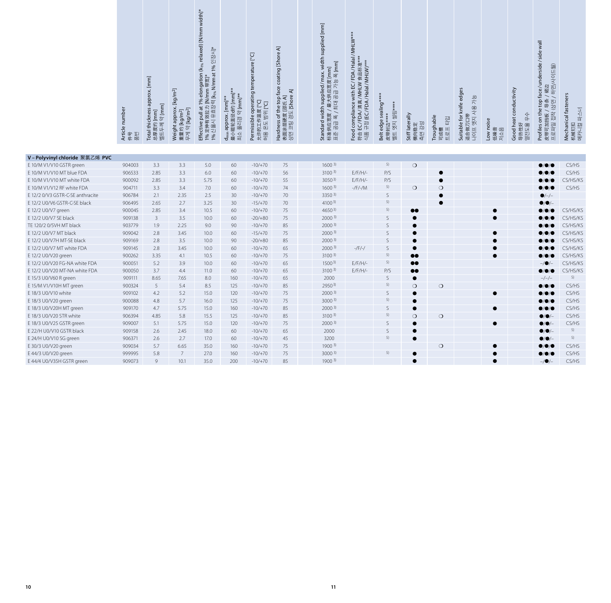|                                                                | Article number<br>件号<br>품번 | Total thickness approx. [mm]<br>$9$ [mm]<br>$[\mathsf{mm}]$<br>总厚度约  <br>벨트두께 | $[\mathrm{kg}/\mathrm{m}^2]$<br>Weight approx. [l<br>重量约 [kg/m <sup>2</sup> ]<br>무게 약 [kg/m <sup>2</sup> ] | Effective pull at 1% elongatio<br>1% 定伸有效拉力 [N/mm 带宽]*<br>1% 신율시 유효장력[k <sub>i%</sub> N/mm a | 最小辊轮直径d约 [mm]*<br>약 [mm]**<br>[mm]<br>d <sub>min</sub> approx.<br>최소 풀리경 | Permissible operating tempe<br>[P°I<br>Eal Ha<br>作温度<br>允许的工作<br>허용 온도 | coat<br>Hardness of the top face co<br>表面涂层硬度 [邵氏 A]<br>상면 코팅 경도 [Shore A] | Standard width supplied/ ma<br>标准供应宽度 / 最大供应宽度 [r<br>표준 공급 폭 / 최대 공급 가능 <del>-</del> | Food compliance with EC/FD<br>符合 EC/FDA/清真/MHLW 食<br>식품 규정 (EC/FDA/Halal/MH | Belt edge sealing*<br>엣지 씰링****<br>皮带封边*<br>벨트 엣지 | Stiff laterally<br>측면 강성<br>横向稳定     | Troughable<br>답입<br>可成槽<br>트 로 프 | Suitable for knife edges<br>가능<br>엣지 사용<br>适合做刀口带<br>프어 | Low noise<br>低噪音<br>저소음 | Good heat conductivity<br>≮⊦<br>$0+$<br>导热性好<br>열전도율 | face/unde<br>皮带可加挡板 / 묵条 / 裙边<br>프로파일 접착 (상면 / 하면/사이<br>top<br>Profiles on the | Mechanical fasteners<br>机械钉扣<br>메카니컬 파스너 |
|----------------------------------------------------------------|----------------------------|-------------------------------------------------------------------------------|------------------------------------------------------------------------------------------------------------|----------------------------------------------------------------------------------------------|--------------------------------------------------------------------------|------------------------------------------------------------------------|----------------------------------------------------------------------------|--------------------------------------------------------------------------------------|-----------------------------------------------------------------------------|---------------------------------------------------|--------------------------------------|----------------------------------|---------------------------------------------------------|-------------------------|------------------------------------------------------|--------------------------------------------------------------------------------|------------------------------------------|
|                                                                |                            |                                                                               |                                                                                                            |                                                                                              |                                                                          |                                                                        |                                                                            |                                                                                      |                                                                             |                                                   |                                      |                                  |                                                         |                         |                                                      |                                                                                |                                          |
| V-Polyvinyl chloride 聚氯乙烯 PVC<br>E 10/M V1/V10 GSTR green      | 904003                     | 3.3                                                                           | 3.3                                                                                                        | 5.0                                                                                          | 60                                                                       | $-10/+70$                                                              | 75                                                                         | 1600 <sup>3</sup>                                                                    |                                                                             | 5)                                                | $\bigcirc$                           |                                  |                                                         |                         |                                                      | $\bullet$ / $\bullet$                                                          | CS/HS                                    |
| E 10/M V1/V10 MT blue FDA                                      | 906533                     | 2.85                                                                          | 3.3                                                                                                        | $6.0$                                                                                        | 60                                                                       | $-10/+70$                                                              | 56                                                                         | $3100^{3}$                                                                           | $E/F/H$ /-                                                                  | P/S                                               |                                      | $\bullet$                        |                                                         |                         |                                                      |                                                                                | CS/HS                                    |
| E 10/M V1/V10 MT white FDA                                     | 900092                     | 2.85                                                                          | 3.3                                                                                                        | 5.75                                                                                         | 60                                                                       | $-10/+70$                                                              | 55                                                                         | $3050^{3}$                                                                           | $E/F/H/-$                                                                   | P/S                                               |                                      | $\bullet$                        |                                                         |                         |                                                      |                                                                                | CS/HS/KS                                 |
| E 10/M V1/V12 RF white FDA                                     | 904711                     | 3.3                                                                           | 3.4                                                                                                        | 7.0                                                                                          | 60                                                                       | $-10/+70$                                                              | 74                                                                         | 1600 <sup>3</sup>                                                                    | $-$ /F/ $-$ /M                                                              | 5)                                                | $\bigcirc$                           | $\circ$                          |                                                         |                         |                                                      | $\bullet/\bullet/\bullet$                                                      | CS/HS                                    |
| E 12/2 0/V3 GSTR-C-SE anthracite                               | 906784                     | 2.1                                                                           | 2.35                                                                                                       | 2.5                                                                                          | 30                                                                       | $-10/+70$                                                              | 70                                                                         | $3350^{3}$                                                                           |                                                                             | $\mathsf S$                                       |                                      | $\bullet$                        |                                                         |                         |                                                      | $\bullet$ /-/-                                                                 |                                          |
| E 12/2 U0/V6 GSTR-C-SE black                                   | 906495                     | 2.65                                                                          | 2.7                                                                                                        | 3.25                                                                                         | 30                                                                       | $-15/+70$                                                              | 70                                                                         | $4100^{3}$                                                                           |                                                                             | 5)                                                |                                      | $\bullet$                        |                                                         |                         |                                                      | $\bullet/\bullet/-$                                                            |                                          |
| E 12/2 U0/V7 green                                             | 900045                     | 2.85                                                                          | 3.4                                                                                                        | 10.5                                                                                         | 60                                                                       | $-10/+70$                                                              | 75                                                                         | $4650^{3}$                                                                           |                                                                             | 5)                                                | $\bullet\bullet$                     |                                  |                                                         | $\bullet$               |                                                      | $\bullet$ / $\bullet$                                                          | CS/HS/KS                                 |
| E 12/2 U0/V7 SE black                                          | 909138                     | $\overline{3}$                                                                | 3.5                                                                                                        | 10.0                                                                                         | 60                                                                       | $-20/+80$                                                              | 75                                                                         | 2000 <sup>3</sup>                                                                    |                                                                             | S                                                 | $\bullet$                            |                                  |                                                         |                         |                                                      |                                                                                | CS/HS/KS                                 |
| TE 120/2 0/5VH MT black                                        | 903779                     | 1.9                                                                           | 2.25                                                                                                       | 9.0                                                                                          | 90                                                                       | $-10/+70$                                                              | 85                                                                         | 2000 <sup>3</sup>                                                                    |                                                                             | S                                                 | $\bullet$                            |                                  |                                                         |                         |                                                      |                                                                                | CS/HS/KS                                 |
| E 12/2 U0/V7 MT black                                          | 909042                     | 2.8                                                                           | 3.45                                                                                                       | 10.0                                                                                         | 60                                                                       | $-15/+70$                                                              | 75                                                                         | $2000^{3}$                                                                           |                                                                             | $\mathsf S$                                       | $\bullet$                            |                                  |                                                         | $\bullet$               |                                                      | $\bullet$ /O                                                                   | CS/HS/KS                                 |
| E 12/2 U0/V7H MT-SE black                                      | 909169                     | 2.8                                                                           | 3.5                                                                                                        | 10.0                                                                                         | 90                                                                       | $-20/+80$                                                              | 85                                                                         | 2000 <sup>3</sup>                                                                    |                                                                             | S                                                 | $\bullet$                            |                                  |                                                         |                         |                                                      |                                                                                | CS/HS/KS                                 |
| E 12/2 U0/V7 MT white FDA                                      | 909145                     | 2.8                                                                           | 3.45                                                                                                       | 10.0                                                                                         | 60                                                                       | $-10/+70$                                                              | 65                                                                         | 2000 <sup>3</sup>                                                                    | $-/F/-/$                                                                    | S                                                 | $\bullet$                            |                                  |                                                         |                         |                                                      |                                                                                | CS/HS/KS                                 |
| E 12/2 U0/V20 green                                            | 900262                     | 3.35                                                                          | 4.1                                                                                                        | 10.5                                                                                         | 60                                                                       | $-10/+70$                                                              | 75                                                                         | $3100^{3}$                                                                           |                                                                             | 5)<br>5)                                          | $\bullet\bullet$                     |                                  |                                                         | $\bullet$               |                                                      | $\bullet$ / $\bullet$ / $\bullet$                                              | CS/HS/KS                                 |
| E 12/2 U0/V20 FG-NA white FDA<br>E 12/2 U0/V20 MT-NA white FDA | 900051<br>900050           | 5.2<br>3.7                                                                    | 3.9<br>4.4                                                                                                 | 10.0<br>11.0                                                                                 | 60<br>60                                                                 | $-10/+70$<br>$-10/+70$                                                 | 65<br>65                                                                   | $1500^{3}$<br>$3100^{3}$                                                             | $E/F/H$ /-<br>$E/F/H/-$                                                     | P/S                                               | $\bullet\bullet$<br>$\bullet\bullet$ |                                  |                                                         |                         |                                                      | $-$ / $\bullet$<br>$\bullet/\bullet/\bullet$                                   | CS/HS/KS<br>CS/HS/KS                     |
| E 15/3 U0/V60 R green                                          | 909111                     | 8.65                                                                          | 7.65                                                                                                       | 8.0                                                                                          | 160                                                                      | $-10/+70$                                                              | 65                                                                         | 2000                                                                                 |                                                                             | S                                                 | $\bullet$                            |                                  |                                                         |                         |                                                      | $-/-/-$                                                                        | 5)                                       |
| E 15/M V1/V10H MT green                                        | 900324                     | 5                                                                             | 5.4                                                                                                        | 8.5                                                                                          | 125                                                                      | $-10/+70$                                                              | 85                                                                         | 2950 <sup>3</sup>                                                                    |                                                                             | 5)                                                | $\circ$                              | $\bigcirc$                       |                                                         |                         |                                                      | $\bullet/\bullet/\bullet$                                                      | CS/HS                                    |
| E 18/3 U0/V10 white                                            | 909102                     | 4.2                                                                           | 5.2                                                                                                        | 15.0                                                                                         | 120                                                                      | $-10/+70$                                                              | 75                                                                         | 2000 <sup>3</sup>                                                                    |                                                                             | $\mathsf S$                                       | $\bullet$                            |                                  |                                                         |                         |                                                      | $\bullet/\bullet/\bullet$                                                      | CS/HS                                    |
| E 18/3 U0/V20 green                                            | 900088                     | 4.8                                                                           | 5.7                                                                                                        | 16.0                                                                                         | 125                                                                      | $-10/+70$                                                              | 75                                                                         | 3000 <sup>3</sup>                                                                    |                                                                             | 5)                                                | $\bullet$                            |                                  |                                                         |                         |                                                      | $\bullet/\bullet/\bullet$                                                      | CS/HS                                    |
| E 18/3 U0/V20H MT green                                        | 909170                     | 4.7                                                                           | 5.75                                                                                                       | 15.0                                                                                         | 160                                                                      | $-10/+70$                                                              | 85                                                                         | 2000 <sup>3</sup>                                                                    |                                                                             | S                                                 | $\bullet$                            |                                  |                                                         | $\bullet$               |                                                      | $\bullet/\bullet/\bullet$                                                      | CS/HS                                    |
| E 18/3 U0/V20 STR white                                        | 906394                     | 4.85                                                                          | 5.8                                                                                                        | 15.5                                                                                         | 125                                                                      | $-10/+70$                                                              | 85                                                                         | 3100 <sup>3</sup>                                                                    |                                                                             | 5)                                                | $\circ$                              | $\circ$                          |                                                         |                         |                                                      | $\bullet$ / $\bullet$ /-                                                       | CS/HS                                    |
| E 18/3 U0/V25 GSTR green                                       | 909007                     | 5.1                                                                           | 5.75                                                                                                       | 15.0                                                                                         | 120                                                                      | $-10/+70$                                                              | 75                                                                         | 2000 <sup>3</sup>                                                                    |                                                                             | S                                                 | $\bullet$                            |                                  |                                                         | $\bullet$               |                                                      | $\bullet$ / $\bullet$ / $-$                                                    | CS/HS                                    |
| E 22/H U0/V10 GSTR black                                       | 909158                     | 2.6                                                                           | 2.45                                                                                                       | 18.0                                                                                         | 60                                                                       | $-10/+70$                                                              | 65                                                                         | 2000                                                                                 |                                                                             | S                                                 | $\bullet$                            |                                  |                                                         |                         |                                                      | $\bullet/\bullet/-$                                                            | 5)                                       |
| E 24/H U0/V10 SG green                                         | 906371                     | 2.6                                                                           | 2.7                                                                                                        | 17.0                                                                                         | 60                                                                       | $-10/+70$                                                              | 45                                                                         | 3200                                                                                 |                                                                             | 5)                                                | $\bullet$                            |                                  |                                                         |                         |                                                      | $\bullet$ / $\bullet$ / $-$                                                    | 5)                                       |
| E 30/3 U0/V20 green                                            | 909034                     | 5.7                                                                           | 6.65                                                                                                       | 35.0                                                                                         | 160                                                                      | $-10/+70$                                                              | 75                                                                         | 1900 <sup>3</sup>                                                                    |                                                                             |                                                   |                                      | $\circ$                          |                                                         | $\bullet$               |                                                      | $\bullet$ / $\bullet$                                                          | CS/HS                                    |
| E 44/3 U0/V20 green                                            | 999995                     | 5.8                                                                           | $7\overline{ }$                                                                                            | 27.0                                                                                         | 160                                                                      | $-10/+70$                                                              | 75                                                                         | $3000^{3}$                                                                           |                                                                             | 5)                                                | $\bullet$                            |                                  |                                                         | $\bullet$               |                                                      | $\bullet/\bullet/\bullet$                                                      | CS/HS                                    |
| E 44/4 U0/V35H GSTR green                                      | 909073                     | 9                                                                             | 10.1                                                                                                       | 35.0                                                                                         | 200                                                                      | $-10/+70$                                                              | 85                                                                         | 1900 <sup>3</sup>                                                                    |                                                                             |                                                   | $\bullet$                            |                                  |                                                         | $\bullet$               |                                                      | $-/\bullet$ /-                                                                 | CS/HS                                    |
|                                                                |                            |                                                                               |                                                                                                            |                                                                                              |                                                                          |                                                                        |                                                                            |                                                                                      |                                                                             |                                                   |                                      |                                  |                                                         |                         |                                                      |                                                                                |                                          |
| 10                                                             |                            |                                                                               |                                                                                                            |                                                                                              |                                                                          |                                                                        |                                                                            | 11                                                                                   |                                                                             |                                                   |                                      |                                  |                                                         |                         |                                                      |                                                                                |                                          |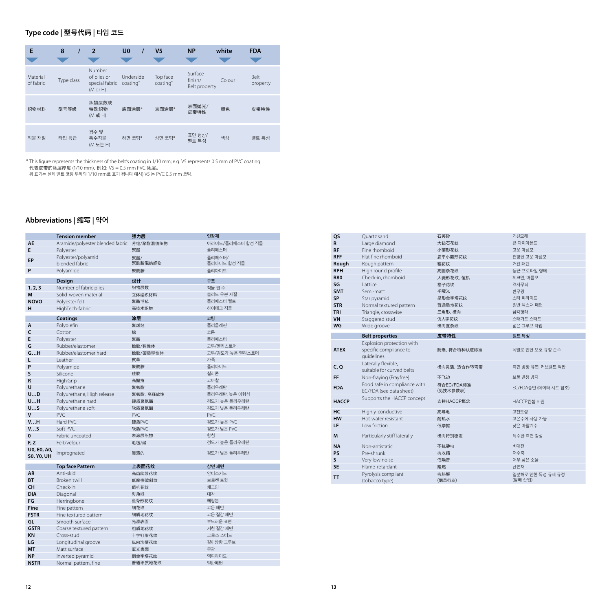# **Type code |** 型号代码 **| 타입 코드**

| E                     | 8          | $\overline{2}$                                             | U <sub>0</sub>                    | V <sub>5</sub>       | <b>NP</b>                           | white  | <b>FDA</b>       |
|-----------------------|------------|------------------------------------------------------------|-----------------------------------|----------------------|-------------------------------------|--------|------------------|
| Material<br>of fabric | Type class | Number<br>of plies or<br>special fabric<br>$(M \circ r H)$ | Underside<br>coating <sup>*</sup> | Top face<br>coating* | Surface<br>finish/<br>Belt property | Colour | Belt<br>property |
| 织物材料                  | 型号等级       | 织物层数或<br>特殊织物<br>(M或H)                                     | 底面涂层*                             | 表面涂层*                | 表面抛光/<br>皮带特性                       | 颜色     | 皮带特性             |
| 직물 재질                 | 타입 등급      | 겹수 및<br>특수직물<br>(M 또는 H)                                   | 하면 코팅*                            | 상면 코팅*               | 표면 형상/<br>벨트 특성                     | 색상     | 벨트 특성            |

\* This figure represents the thickness of the belt's coating in 1/10 mm; e.g. V5 represents 0.5 mm of PVC coating. 代表皮带的涂层厚度 (1/10 mm), 例如: V5 = 0.5 mm PVC 涂层。

위 표기는 실제 벨트 코팅 두께의 1/10 mm로 표기 됩니다 예시) V5 는 PVC 0.5 mm 코팅.

# **Abbreviations |** 缩写 **| 약어**

|                                  | <b>Tension member</b>                      | 强力层            | 인장재                   |
|----------------------------------|--------------------------------------------|----------------|-----------------------|
| <b>AE</b>                        | Aramide/polyester blended fabric 芳纶/聚酯混纺织物 |                | 아라미드/폴리에스터 합성 직물      |
| E                                | Polyester                                  | 聚酯             | 폴리에스터                 |
| EP                               | Polyester/polyamid<br>blended fabric       | 聚酯/<br>聚酰胺混纺织物 | 폴리에스터/<br>폴리아미드 합성 직물 |
| P                                | Polyamide                                  | 聚酰胺            | 폴리아미드                 |
|                                  |                                            |                |                       |
|                                  | Design                                     | 设计             | 구조                    |
| 1, 2, 3                          | Number of fabric plies                     | 织物层数           | 직물 겹 수                |
| M                                | Solid-woven material                       | 立体编织材料         | 솔리드 우븐 재질             |
| <b>NOVO</b>                      | Polyester felt                             | 聚酯毛毡           | 폴리에스터 펠트              |
| н                                | HighTech-fabric                            | 高技术织物          | 하이테크 직물               |
|                                  | <b>Coatings</b>                            | 涂层             | 코팅                    |
| A                                | Polyolefin                                 | 聚烯烃            | 폴리올레핀                 |
| C                                | Cotton                                     | 棉              | 코튼                    |
| E                                | Polyester                                  | 聚酯             | 폴리에스터                 |
| G                                | Rubber/elastomer                           | 橡胶/弹性体         | 고무/엘라스토머              |
| GH                               | Rubber/elastomer hard                      | 橡胶/硬质弹性体       | 고무/경도가 높은 엘라스토머       |
| L                                | Leather                                    | 皮革             | 가죽                    |
| P                                | Polyamide                                  | 聚酰胺            | 폴리아미드                 |
| S                                | Silicone                                   | 硅胶             | 실리콘                   |
| R                                | High Grip                                  | 高握持            | 고마찰                   |
| U                                | Polyurethane                               | 聚氨酯            | 폴리우레탄                 |
| UD                               | Polyurethane, High release                 | 聚氨酯、高释放性       | 폴리우레탄, 높은 이형성         |
| UH                               | Polyurethane hard                          | 硬质聚氨酯          | 경도가 높은 폴리우레탄          |
| US                               | Polyurethane soft                          | 软质聚氨酯          | 경도가 낮은 폴리우레탄          |
| V                                | PVC                                        | PVC            | PVC                   |
| VH                               | Hard PVC                                   | 硬质PVC          | 경도가 높은 PVC            |
| VS                               | Soft PVC                                   | 软质PVC          | 경도가 낮은 PVC            |
| 0                                | Fabric uncoated                            | 未涂层织物          | 함침                    |
| F, Z                             | Felt/velour                                | 毛毡/绒           | 경도가 높은 폴리우레탄          |
| U0, E0, A0,<br><b>SO, YO, UH</b> | Impregnated                                | 浸渍的            | 경도가 낮은 폴리우레탄          |
|                                  | <b>Top face Pattern</b>                    | 上表面花纹          | 상면 패턴                 |
| <b>AR</b>                        | Anti-skid                                  | 高齿爬坡花纹         | 안티스키드                 |
| <b>BT</b>                        | Broken twill                               | 低摩擦破斜纹         | 브로켄 트윌                |
| <b>CH</b>                        | Check-in                                   | 值机花纹           | 체크인                   |
| <b>DIA</b>                       | Diagonal                                   | 对角线            | 대각                    |
| FG                               | Herringbone                                | 鱼骨形花纹          | 헤링본                   |
| <b>Fine</b>                      | Fine pattern                               | 细花纹            | 고운 패턴                 |
| <b>FSTR</b>                      | Fine textured pattern                      | 细质地花纹          | 고운 질감 패턴              |
| GL                               | Smooth surface                             | 光滑表面           | 부드러운 표면               |
| <b>GSTR</b>                      | Coarse textured pattern                    | 粗质地花纹          | 거친 질감 패턴              |
| <b>KN</b>                        | Cross-stud                                 | 十字钉形花纹         | 크로스 스터드               |
| LG                               | Longitudinal groove                        | 纵向沟槽花纹         | 길이방향 그루브              |
| <b>MT</b>                        | Matt surface                               | 亚光表面           | 무광                    |
| <b>NP</b>                        | Inverted pyramid                           | 倒金字塔花纹         | 역피라미드                 |
| <b>NSTR</b>                      | Normal pattern, fine                       | 普通细质地花纹        | 일반패턴                  |

| QS           | Ouartz sand                                             | 石英砂                    | 거친모래                 |
|--------------|---------------------------------------------------------|------------------------|----------------------|
| R            | Large diamond                                           | 大钻石花纹                  | 큰 다이아몬드              |
| <b>RF</b>    | Fine rhomboid                                           | 小菱形花纹                  | 고운 마름모               |
| <b>RFF</b>   | Flat fine rhomboid                                      | 扁平小菱形花纹                | 편평한 고운 마름모           |
| Rough        | Rough pattern                                           | 粗花纹                    | 거친 패턴                |
| <b>RPH</b>   | High round profile                                      | 高圆条花纹                  | 둥근 프로파일 형태           |
| <b>R80</b>   | Check-in, rhomboid                                      | 大菱形花纹, 值机              | 체크인, 마름모             |
| SG           | <b>Lattice</b>                                          | 格子花纹                   | 격자무늬                 |
| <b>SMT</b>   | Semi-matt                                               | 半哑光                    | 반무광                  |
| <b>SP</b>    | Star pyramid                                            | 星形金字塔花纹                | 스타 피라미드              |
| <b>STR</b>   | Normal textured pattern                                 | 普通质地花纹                 | 일반 텍스쳐 패턴            |
| <b>TRI</b>   | Triangle, crosswise                                     | 三角形,横向                 | 삼각형태                 |
| <b>VN</b>    | Staggered stud                                          | 仿人字花纹                  | 스태거드 스터드             |
| WG           | Wide groove                                             | 横向直条纹                  | 넓은 그루브 타입            |
|              | <b>Belt properties</b>                                  | 皮带特性                   | 벨트 특성                |
|              | Explosion protection with                               |                        |                      |
| <b>ATEX</b>  | specific compliance to<br>quidelines                    | 防爆, 符合特种认证标准           | 폭발로 인한 보호 규정 준수      |
| C, Q         | Laterally flexible,<br>suitable for curved belts        | 横向灵活, 适合作转弯带           | 측면 방향 유연, 커브벨트 적합    |
| FF           | Non-fraying (Frayfree)                                  | 不飞边                    | 보풀 발생 방지             |
| <b>FDA</b>   | Food safe in compliance with<br>EC/FDA (see data sheet) | 符合EC/FDA标准<br>(见技术参数表) | EC/FDA승인 (데이터 시트 참조) |
| <b>HACCP</b> | Supports the HACCP concept                              | 支持HACCP概念              | HACCP컨셉 지원           |
| HC           | Highly-conductive                                       | 高导电                    | 고전도성                 |
| <b>HW</b>    | Hot-water resistant                                     | 耐热水                    | 고온수에 사용 가능           |
| LF           | I ow friction                                           | 低摩擦                    | 낮은 마찰계수              |
| M            | Particularly stiff laterally                            | 横向特别稳定                 | 특수한 측면 강성            |
| <b>NA</b>    | Non-antistatic                                          | 不抗静电                   | 비대전                  |
| <b>PS</b>    | Pre-shrunk                                              | 抗收缩                    | 저수축                  |
| S            | Very low noise                                          | 低噪音                    | 매우 낮은 소음             |
| <b>SE</b>    | Flame-retardant                                         | 阻燃                     | 난연재                  |
|              |                                                         |                        |                      |